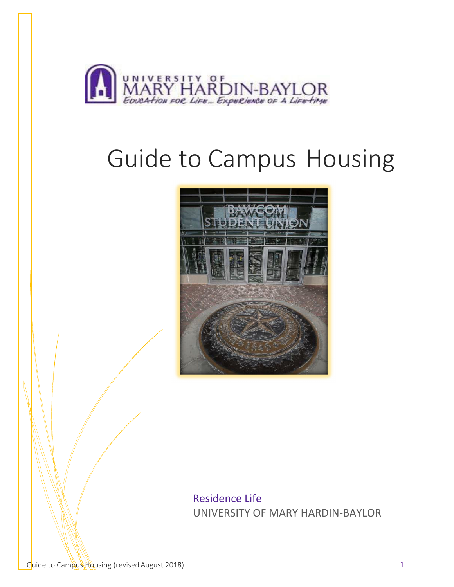

# Guide to Campus Housing



Residence Life UNIVERSITY OF MARY HARDIN‐BAYLOR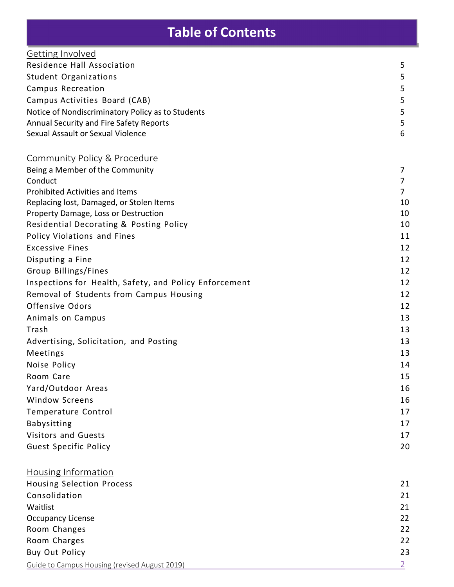# **Table of Contents**

| Getting Involved                                       |                |
|--------------------------------------------------------|----------------|
| Residence Hall Association                             | 5              |
| <b>Student Organizations</b>                           | 5              |
| Campus Recreation                                      | 5              |
| Campus Activities Board (CAB)                          | 5              |
| Notice of Nondiscriminatory Policy as to Students      | 5              |
| Annual Security and Fire Safety Reports                | 5              |
| Sexual Assault or Sexual Violence                      | 6              |
|                                                        |                |
| Community Policy & Procedure                           |                |
| Being a Member of the Community                        | 7              |
| Conduct                                                | 7              |
| <b>Prohibited Activities and Items</b>                 | $\overline{7}$ |
| Replacing lost, Damaged, or Stolen Items               | 10             |
| Property Damage, Loss or Destruction                   | 10             |
| Residential Decorating & Posting Policy                | 10             |
| Policy Violations and Fines                            | 11             |
| <b>Excessive Fines</b>                                 | 12             |
| Disputing a Fine                                       | 12             |
| Group Billings/Fines                                   | 12             |
| Inspections for Health, Safety, and Policy Enforcement | 12             |
| Removal of Students from Campus Housing                | 12             |
| Offensive Odors                                        | 12             |
| Animals on Campus                                      | 13             |
| Trash                                                  | 13             |
| Advertising, Solicitation, and Posting                 | 13             |
| Meetings                                               | 13             |
| Noise Policy                                           | 14             |
| Room Care                                              | 15             |
| Yard/Outdoor Areas                                     | 16             |
| <b>Window Screens</b>                                  | 16             |
| Temperature Control                                    | 17             |
| <b>Babysitting</b>                                     | 17             |
| Visitors and Guests                                    | 17             |
| <b>Guest Specific Policy</b>                           | 20             |
|                                                        |                |
| Housing Information                                    |                |
| <b>Housing Selection Process</b>                       | 21             |
| Consolidation                                          | 21             |
| Waitlist                                               | 21             |
| <b>Occupancy License</b>                               | 22             |
| Room Changes                                           | 22             |
| Room Charges                                           | 22             |
| Buy Out Policy                                         | 23             |
| Guide to Campus Housing (revised August 2019)          | $\overline{2}$ |
|                                                        |                |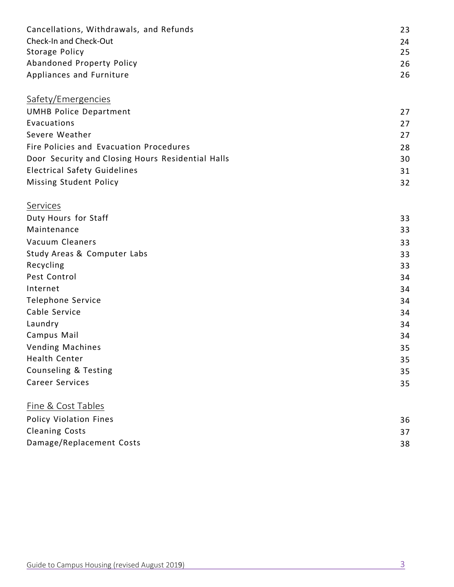| Cancellations, Withdrawals, and Refunds           | 23 |
|---------------------------------------------------|----|
| Check-In and Check-Out                            | 24 |
| Storage Policy                                    | 25 |
| Abandoned Property Policy                         | 26 |
| Appliances and Furniture                          | 26 |
| Safety/Emergencies                                |    |
| <b>UMHB Police Department</b>                     | 27 |
| Evacuations                                       | 27 |
| Severe Weather                                    | 27 |
| Fire Policies and Evacuation Procedures           | 28 |
| Door Security and Closing Hours Residential Halls | 30 |
| <b>Electrical Safety Guidelines</b>               | 31 |
| Missing Student Policy                            | 32 |
| Services                                          |    |
| Duty Hours for Staff                              | 33 |
| Maintenance                                       | 33 |
| Vacuum Cleaners                                   | 33 |
| Study Areas & Computer Labs                       | 33 |
| Recycling                                         | 33 |
| Pest Control                                      | 34 |
| Internet                                          | 34 |
| Telephone Service                                 | 34 |
| Cable Service                                     | 34 |
| Laundry                                           | 34 |
| Campus Mail                                       | 34 |
| <b>Vending Machines</b>                           | 35 |
| Health Center                                     | 35 |
| Counseling & Testing                              | 35 |
| <b>Career Services</b>                            | 35 |
| <b>Fine &amp; Cost Tables</b>                     |    |
| Policy Violation Fines                            | 36 |
| <b>Cleaning Costs</b>                             | 37 |
| Damage/Replacement Costs                          | 38 |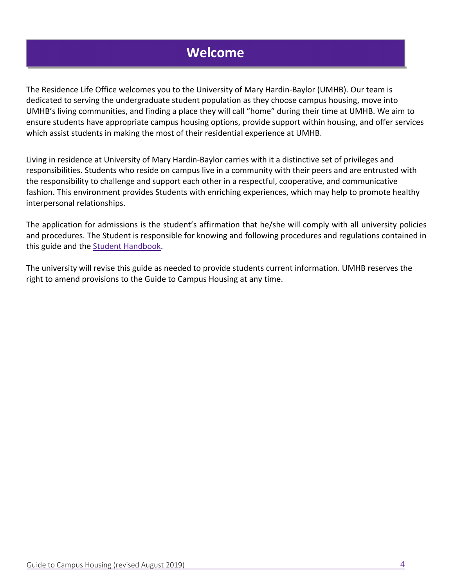# **Welcome**

The Residence Life Office welcomes you to the University of Mary Hardin‐Baylor (UMHB). Our team is dedicated to serving the undergraduate student population as they choose campus housing, move into UMHB's living communities, and finding a place they will call "home" during their time at UMHB. We aim to ensure students have appropriate campus housing options, provide support within housing, and offer services which assist students in making the most of their residential experience at UMHB.

Living in residence at University of Mary Hardin‐Baylor carries with it a distinctive set of privileges and responsibilities. Students who reside on campus live in a community with their peers and are entrusted with the responsibility to challenge and support each other in a respectful, cooperative, and communicative fashion. This environment provides Students with enriching experiences, which may help to promote healthy interpersonal relationships.

The application for admissions is the student's affirmation that he/she will comply with all university policies and procedures. The Student is responsible for knowing and following procedures and regulations contained in this guide and the Student Handbook.

The university will revise this guide as needed to provide students current information. UMHB reserves the right to amend provisions to the Guide to Campus Housing at any time.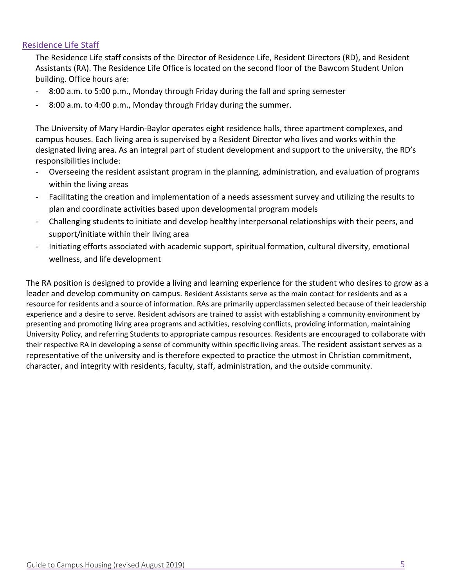#### Residence Life Staff

The Residence Life staff consists of the Director of Residence Life, Resident Directors (RD), and Resident Assistants (RA). The Residence Life Office is located on the second floor of the Bawcom Student Union building. Office hours are:

- ‐ 8:00 a.m. to 5:00 p.m., Monday through Friday during the fall and spring semester
- ‐ 8:00 a.m. to 4:00 p.m., Monday through Friday during the summer.

The University of Mary Hardin‐Baylor operates eight residence halls, three apartment complexes, and campus houses. Each living area is supervised by a Resident Director who lives and works within the designated living area. As an integral part of student development and support to the university, the RD's responsibilities include:

- ‐ Overseeing the resident assistant program in the planning, administration, and evaluation of programs within the living areas
- ‐ Facilitating the creation and implementation of a needs assessment survey and utilizing the results to plan and coordinate activities based upon developmental program models
- ‐ Challenging students to initiate and develop healthy interpersonal relationships with their peers, and support/initiate within their living area
- ‐ Initiating efforts associated with academic support, spiritual formation, cultural diversity, emotional wellness, and life development

The RA position is designed to provide a living and learning experience for the student who desires to grow as a leader and develop community on campus. Resident Assistants serve as the main contact for residents and as a resource for residents and a source of information. RAs are primarily upperclassmen selected because of their leadership experience and a desire to serve. Resident advisors are trained to assist with establishing a community environment by presenting and promoting living area programs and activities, resolving conflicts, providing information, maintaining University Policy, and referring Students to appropriate campus resources. Residents are encouraged to collaborate with their respective RA in developing a sense of community within specific living areas. The resident assistant serves as a representative of the university and is therefore expected to practice the utmost in Christian commitment, character, and integrity with residents, faculty, staff, administration, and the outside community.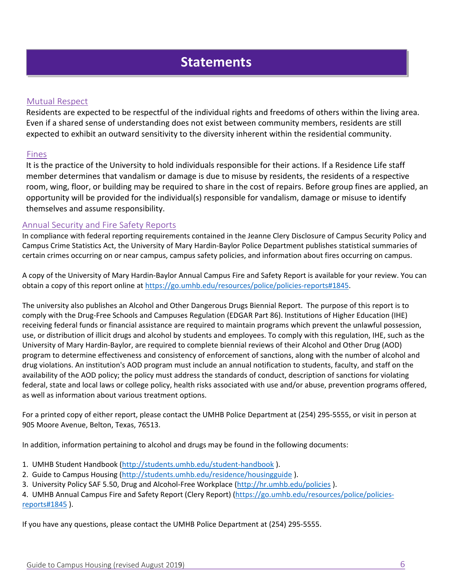## **Statements**

#### Mutual Respect

Residents are expected to be respectful of the individual rights and freedoms of others within the living area. Even if a shared sense of understanding does not exist between community members, residents are still expected to exhibit an outward sensitivity to the diversity inherent within the residential community.

#### Fines

It is the practice of the University to hold individuals responsible for their actions. If a Residence Life staff member determines that vandalism or damage is due to misuse by residents, the residents of a respective room, wing, floor, or building may be required to share in the cost of repairs. Before group fines are applied, an opportunity will be provided for the individual(s) responsible for vandalism, damage or misuse to identify themselves and assume responsibility.

#### Annual Security and Fire Safety Reports

In compliance with federal reporting requirements contained in the Jeanne Clery Disclosure of Campus Security Policy and Campus Crime Statistics Act, the University of Mary Hardin‐Baylor Police Department publishes statistical summaries of certain crimes occurring on or near campus, campus safety policies, and information about fires occurring on campus.

A copy of the University of Mary Hardin‐Baylor Annual Campus Fire and Safety Report is available for your review. You can obtain a copy of this report online at https://go.umhb.edu/resources/police/policies‐reports#1845.

The university also publishes an Alcohol and Other Dangerous Drugs Biennial Report. The purpose of this report is to comply with the Drug‐Free Schools and Campuses Regulation (EDGAR Part 86). Institutions of Higher Education (IHE) receiving federal funds or financial assistance are required to maintain programs which prevent the unlawful possession, use, or distribution of illicit drugs and alcohol by students and employees. To comply with this regulation, IHE, such as the University of Mary Hardin‐Baylor, are required to complete biennial reviews of their Alcohol and Other Drug (AOD) program to determine effectiveness and consistency of enforcement of sanctions, along with the number of alcohol and drug violations. An institution's AOD program must include an annual notification to students, faculty, and staff on the availability of the AOD policy; the policy must address the standards of conduct, description of sanctions for violating federal, state and local laws or college policy, health risks associated with use and/or abuse, prevention programs offered, as well as information about various treatment options.

For a printed copy of either report, please contact the UMHB Police Department at (254) 295‐5555, or visit in person at 905 Moore Avenue, Belton, Texas, 76513.

In addition, information pertaining to alcohol and drugs may be found in the following documents:

- 1. UMHB Student Handbook (http://students.umhb.edu/student-handbook).
- 2. Guide to Campus Housing (http://students.umhb.edu/residence/housingguide ).
- 3. University Policy SAF 5.50, Drug and Alcohol‐Free Workplace (http://hr.umhb.edu/policies ).

4. UMHB Annual Campus Fire and Safety Report (Clery Report) (https://go.umhb.edu/resources/police/policiesreports#1845 ).

If you have any questions, please contact the UMHB Police Department at (254) 295‐5555.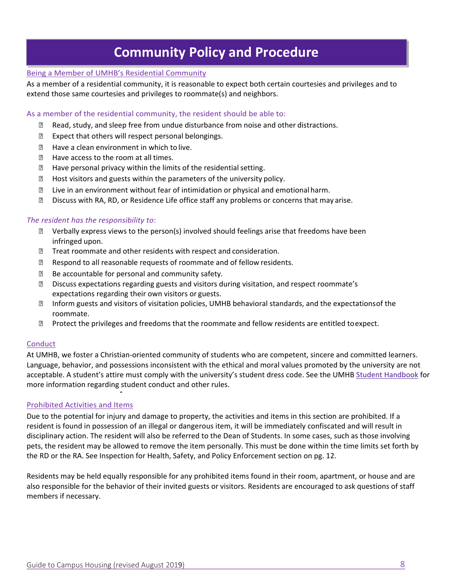## **Community Policy and Procedure**

#### Being a Member of UMHB's Residential Community

As a member of a residential community, it is reasonable to expect both certain courtesies and privileges and to extend those same courtesies and privileges to roommate(s) and neighbors.

#### As a member of the residential community, the resident should be able to:

- Read, study, and sleep free from undue disturbance from noise and other distractions.
- **Expect that others will respect personal belongings.**
- **E** Have a clean environment in which to live.
- $\mathbb{R}$  Have access to the room at all times.
- **E** Have personal privacy within the limits of the residential setting.
- **E** Host visitors and guests within the parameters of the university policy.
- Live in an environment without fear of intimidation or physical and emotional harm.
- Discuss with RA, RD, or Residence Life office staff any problems or concerns that may arise.

#### *The resident has the responsibility to*:

- Verbally express views to the person(s) involved should feelings arise that freedoms have been infringed upon.
- **Treat roommate and other residents with respect and consideration.**
- Respond to all reasonable requests of roommate and of fellow residents.
- Be accountable for personal and community safety.
- Discuss expectations regarding guests and visitors during visitation, and respect roommate's expectations regarding their own visitors or guests.
- **Inform guests and visitors of visitation policies, UMHB behavioral standards, and the expectations of the** roommate.
- **Z** Protect the privileges and freedoms that the roommate and fellow residents are entitled to expect.

#### **Conduct**

At UMHB, we foster a Christian‐oriented community of students who are competent, sincere and committed learners. Language, behavior, and possessions inconsistent with the ethical and moral values promoted by the university are not acceptable. A student's attire must comply with the university's student dress code. See the UMHB Student Handbook for more information regarding student conduct and other rules.

#### Prohibited Activities and Items

Due to the potential for injury and damage to property, the activities and items in this section are prohibited. If a resident is found in possession of an illegal or dangerous item, it will be immediately confiscated and will result in disciplinary action. The resident will also be referred to the Dean of Students. In some cases, such as those involving pets, the resident may be allowed to remove the item personally. This must be done within the time limits set forth by the RD or the RA. See Inspection for Health, Safety, and Policy Enforcement section on pg. 12.

Residents may be held equally responsible for any prohibited items found in their room, apartment, or house and are also responsible for the behavior of their invited guests or visitors. Residents are encouraged to ask questions of staff members if necessary.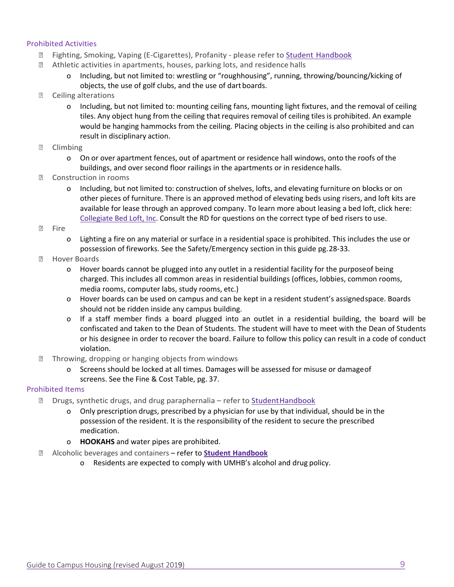#### Prohibited Activities

- **Z** Fighting, Smoking, Vaping (E-Cigarettes), Profanity please refer to Student Handbook
- Athletic activities in apartments, houses, parking lots, and residence halls
	- o Including, but not limited to: wrestling or "roughhousing", running, throwing/bouncing/kicking of objects, the use of golf clubs, and the use of dart boards.
- **P** Ceiling alterations
	- o Including, but not limited to: mounting ceiling fans, mounting light fixtures, and the removal of ceiling tiles. Any object hung from the ceiling that requires removal of ceiling tiles is prohibited. An example would be hanging hammocks from the ceiling. Placing objects in the ceiling is also prohibited and can result in disciplinary action.
- **P** Climbing
	- o On or over apartment fences, out of apartment or residence hall windows, onto the roofs of the buildings, and over second floor railings in the apartments or in residence halls.
- **Z** Construction in rooms
	- o Including, but not limited to: construction of shelves, lofts, and elevating furniture on blocks or on other pieces of furniture. There is an approved method of elevating beds using risers, and loft kits are available for lease through an approved company. To learn more about leasing a bed loft, click here: Collegiate Bed Loft, Inc. Consult the RD for questions on the correct type of bed risers to use.
- **P** Fire
	- o Lighting a fire on any material or surface in a residential space is prohibited. This includes the use or possession of fireworks. See the Safety/Emergency section in this guide pg. 28‐33.
- **2** Hover Boards
	- o Hover boards cannot be plugged into any outlet in a residential facility for the purpose of being charged. This includes all common areas in residential buildings (offices, lobbies, common rooms, media rooms, computer labs, study rooms, etc.)
	- o Hover boards can be used on campus and can be kept in a resident student's assigned space. Boards should not be ridden inside any campus building.
	- o If a staff member finds a board plugged into an outlet in a residential building, the board will be confiscated and taken to the Dean of Students. The student will have to meet with the Dean of Students or his designee in order to recover the board. Failure to follow this policy can result in a code of conduct violation.
- **Throwing, dropping or hanging objects from windows** 
	- o Screens should be locked at all times. Damages will be assessed for misuse or damage of screens. See the Fine & Cost Table, pg. 37.

#### Prohibited Items

- $\mathbb D$  Drugs, synthetic drugs, and drug paraphernalia refer to Student Handbook
	- o Only prescription drugs, prescribed by a physician for use by that individual, should be in the possession of the resident. It is the responsibility of the resident to secure the prescribed medication.
	- o **HOOKAHS** and water pipes are prohibited.
- Alcoholic beverages and containers refer to **Student Handbook**
	- o Residents are expected to comply with UMHB's alcohol and drug policy.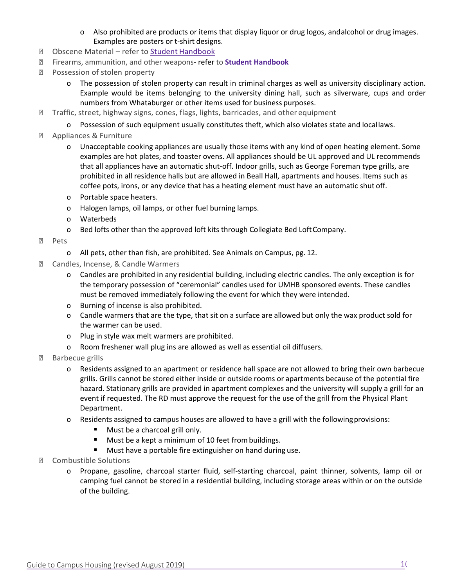- o Also prohibited are products or items that display liquor or drug logos, and alcohol or drug images. Examples are posters or t‐shirt designs.
- Obscene Material refer to Student Handbook
- Firearms, ammunition, and other weapons‐ refer to **Student Handbook**
- Possession of stolen property
	- o The possession of stolen property can result in criminal charges as well as university disciplinary action. Example would be items belonging to the university dining hall, such as silverware, cups and order numbers from Whataburger or other items used for business purposes.
- Traffic, street, highway signs, cones, flags, lights, barricades, and other equipment
	- o Possession of such equipment usually constitutes theft, which also violates state and local laws.
- **E** Appliances & Furniture
	- o Unacceptable cooking appliances are usually those items with any kind of open heating element. Some examples are hot plates, and toaster ovens. All appliances should be UL approved and UL recommends that all appliances have an automatic shut-off. Indoor grills, such as George Foreman type grills, are prohibited in all residence halls but are allowed in Beall Hall, apartments and houses. Items such as coffee pots, irons, or any device that has a heating element must have an automatic shut off.
	- o Portable space heaters.
	- o Halogen lamps, oil lamps, or other fuel burning lamps.
	- o Waterbeds
	- o Bed lofts other than the approved loft kits through Collegiate Bed Loft Company.
- **Pets** 
	- o All pets, other than fish, are prohibited. See Animals on Campus, pg. 12.
- Candles, Incense, & Candle Warmers
	- o Candles are prohibited in any residential building, including electric candles. The only exception is for the temporary possession of "ceremonial" candles used for UMHB sponsored events. These candles must be removed immediately following the event for which they were intended.
	- o Burning of incense is also prohibited.
	- o Candle warmers that are the type, that sit on a surface are allowed but only the wax product sold for the warmer can be used.
	- o Plug in style wax melt warmers are prohibited.
	- o Room freshener wall plug ins are allowed as well as essential oil diffusers.
- **Barbecue grills** 
	- o Residents assigned to an apartment or residence hall space are not allowed to bring their own barbecue grills. Grills cannot be stored either inside or outside rooms or apartments because of the potential fire hazard. Stationary grills are provided in apartment complexes and the university will supply a grill for an event if requested. The RD must approve the request for the use of the grill from the Physical Plant Department.
	- o Residents assigned to campus houses are allowed to have a grill with the following provisions:
		- Must be a charcoal grill only.
		- **Must be a kept a minimum of 10 feet from buildings.**
		- **Must have a portable fire extinguisher on hand during use.**
- Combustible Solutions
	- o Propane, gasoline, charcoal starter fluid, self‐starting charcoal, paint thinner, solvents, lamp oil or camping fuel cannot be stored in a residential building, including storage areas within or on the outside of the building.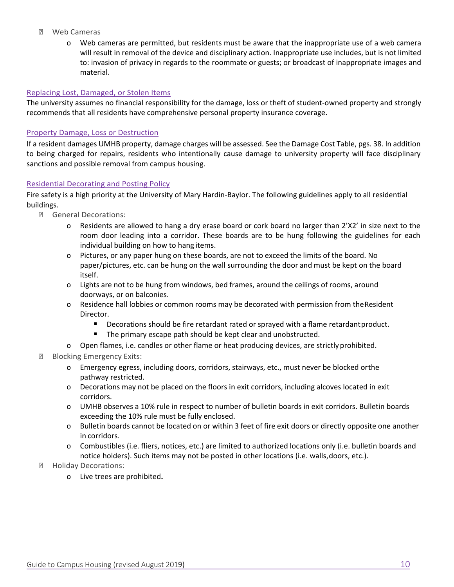- Web Cameras
	- o Web cameras are permitted, but residents must be aware that the inappropriate use of a web camera will result in removal of the device and disciplinary action. Inappropriate use includes, but is not limited to: invasion of privacy in regards to the roommate or guests; or broadcast of inappropriate images and material.

#### Replacing Lost, Damaged, or Stolen Items

The university assumes no financial responsibility for the damage, loss or theft of student‐owned property and strongly recommends that all residents have comprehensive personal property insurance coverage.

#### Property Damage, Loss or Destruction

If a resident damages UMHB property, damage charges will be assessed. See the Damage Cost Table, pgs. 38. In addition to being charged for repairs, residents who intentionally cause damage to university property will face disciplinary sanctions and possible removal from campus housing.

#### Residential Decorating and Posting Policy

Fire safety is a high priority at the University of Mary Hardin‐Baylor. The following guidelines apply to all residential buildings.

- General Decorations:
	- o Residents are allowed to hang a dry erase board or cork board no larger than 2'X2' in size next to the room door leading into a corridor. These boards are to be hung following the guidelines for each individual building on how to hang items.
	- o Pictures, or any paper hung on these boards, are not to exceed the limits of the board. No paper/pictures, etc. can be hung on the wall surrounding the door and must be kept on the board itself.
	- o Lights are not to be hung from windows, bed frames, around the ceilings of rooms, around doorways, or on balconies.
	- o Residence hall lobbies or common rooms may be decorated with permission from the Resident Director.
		- **Decorations should be fire retardant rated or sprayed with a flame retardant product.**
		- The primary escape path should be kept clear and unobstructed.
	- o Open flames, i.e. candles or other flame or heat producing devices, are strictly prohibited.
- **Blocking Emergency Exits:** 
	- o Emergency egress, including doors, corridors, stairways, etc., must never be blocked or the pathway restricted.
	- o Decorations may not be placed on the floors in exit corridors, including alcoves located in exit corridors.
	- o UMHB observes a 10% rule in respect to number of bulletin boards in exit corridors. Bulletin boards exceeding the 10% rule must be fully enclosed.
	- o Bulletin boards cannot be located on or within 3 feet of fire exit doors or directly opposite one another in corridors.
	- o Combustibles (i.e. fliers, notices, etc.) are limited to authorized locations only (i.e. bulletin boards and notice holders). Such items may not be posted in other locations (i.e. walls, doors, etc.).
- **E** Holiday Decorations:
	- o Live trees are prohibited**.**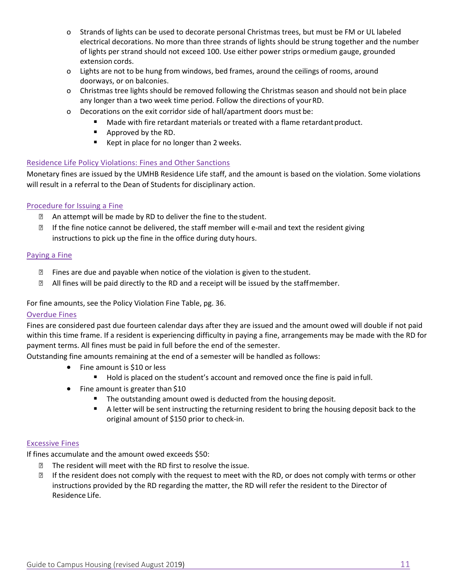- o Strands of lights can be used to decorate personal Christmas trees, but must be FM or UL labeled electrical decorations. No more than three strands of lights should be strung together and the number of lights per strand should not exceed 100. Use either power strips or medium gauge, grounded extension cords.
- o Lights are not to be hung from windows, bed frames, around the ceilings of rooms, around doorways, or on balconies.
- o Christmas tree lights should be removed following the Christmas season and should not be in place any longer than a two week time period. Follow the directions of your RD.
- o Decorations on the exit corridor side of hall/apartment doors must be:
	- **Made with fire retardant materials or treated with a flame retardant product.**
	- **Approved by the RD.**
	- Kept in place for no longer than 2 weeks.

#### Residence Life Policy Violations: Fines and Other Sanctions

Monetary fines are issued by the UMHB Residence Life staff, and the amount is based on the violation. Some violations will result in a referral to the Dean of Students for disciplinary action.

#### Procedure for Issuing a Fine

- **E** An attempt will be made by RD to deliver the fine to the student.
- **■** If the fine notice cannot be delivered, the staff member will e-mail and text the resident giving instructions to pick up the fine in the office during duty hours.

#### Paying a Fine

- $\mathbb D$  Fines are due and payable when notice of the violation is given to the student.
- **If** All fines will be paid directly to the RD and a receipt will be issued by the staff member.

#### For fine amounts, see the Policy Violation Fine Table, pg. 36.

#### Overdue Fines

Fines are considered past due fourteen calendar days after they are issued and the amount owed will double if not paid within this time frame. If a resident is experiencing difficulty in paying a fine, arrangements may be made with the RD for payment terms. All fines must be paid in full before the end of the semester.

Outstanding fine amounts remaining at the end of a semester will be handled as follows:

- Fine amount is \$10 or less
	- Hold is placed on the student's account and removed once the fine is paid in full.
- Fine amount is greater than \$10
	- The outstanding amount owed is deducted from the housing deposit.
	- **A** letter will be sent instructing the returning resident to bring the housing deposit back to the original amount of \$150 prior to check‐in.

#### Excessive Fines

If fines accumulate and the amount owed exceeds \$50:

- **The resident will meet with the RD first to resolve the issue.**
- If the resident does not comply with the request to meet with the RD, or does not comply with terms or other instructions provided by the RD regarding the matter, the RD will refer the resident to the Director of Residence Life.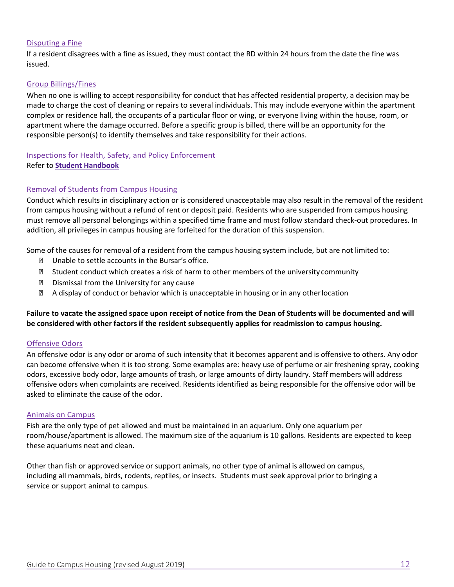#### Disputing a Fine

If a resident disagrees with a fine as issued, they must contact the RD within 24 hours from the date the fine was issued.

#### Group Billings/Fines

When no one is willing to accept responsibility for conduct that has affected residential property, a decision may be made to charge the cost of cleaning or repairs to several individuals. This may include everyone within the apartment complex or residence hall, the occupants of a particular floor or wing, or everyone living within the house, room, or apartment where the damage occurred. Before a specific group is billed, there will be an opportunity for the responsible person(s) to identify themselves and take responsibility for their actions.

#### Inspections for Health, Safety, and Policy Enforcement Refer to **Student Handbook**

#### Removal of Students from Campus Housing

Conduct which results in disciplinary action or is considered unacceptable may also result in the removal of the resident from campus housing without a refund of rent or deposit paid. Residents who are suspended from campus housing must remove all personal belongings within a specified time frame and must follow standard check‐out procedures. In addition, all privileges in campus housing are forfeited for the duration of this suspension.

Some of the causes for removal of a resident from the campus housing system include, but are not limited to:

- **D** Unable to settle accounts in the Bursar's office.
- **Z** Student conduct which creates a risk of harm to other members of the university community
- **D** Dismissal from the University for any cause
- A display of conduct or behavior which is unacceptable in housing or in any other location

#### **Failure to vacate the assigned space upon receipt of notice from the Dean of Students will be documented and will be considered with other factors if the resident subsequently applies for readmission to campus housing.**

#### Offensive Odors

An offensive odor is any odor or aroma of such intensity that it becomes apparent and is offensive to others. Any odor can become offensive when it is too strong. Some examples are: heavy use of perfume or air freshening spray, cooking odors, excessive body odor, large amounts of trash, or large amounts of dirty laundry. Staff members will address offensive odors when complaints are received. Residents identified as being responsible for the offensive odor will be asked to eliminate the cause of the odor.

#### Animals on Campus

Fish are the only type of pet allowed and must be maintained in an aquarium. Only one aquarium per room/house/apartment is allowed. The maximum size of the aquarium is 10 gallons. Residents are expected to keep these aquariums neat and clean.

Other than fish or approved service or support animals, no other type of animal is allowed on campus, including all mammals, birds, rodents, reptiles, or insects. Students must seek approval prior to bringing a service or support animal to campus.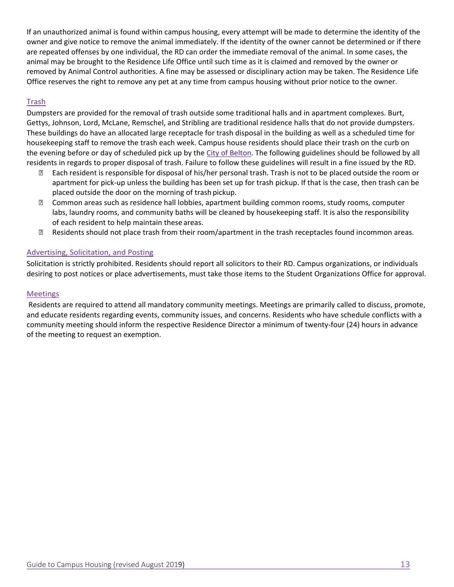If an unauthorized animal is found within campus housing, every attempt will be made to determine the identity of the owner and give notice to remove the animal immediately. If the identity of the owner cannot be determined or if there are repeated offenses by one individual, the RD can order the immediate removal of the animal. In some cases, the animal may be brought to the Residence Life Office until such time as it is claimed and removed by the owner or removed by Animal Control authorities. A fine may be assessed or disciplinary action may be taken. The Residence Life Office reserves the right to remove any pet at any time from campus housing without prior notice to the owner.

#### **Trash**

Dumpsters are provided for the removal of trash outside some traditional halls and in apartment complexes. Burt, Gettys, Johnson, Lord, McLane, Remschel, and Stribling are traditional residence halls that do not provide dumpsters. These buildings do have an allocated large receptacle for trash disposal in the building as well as a scheduled time for housekeeping staff to remove the trash each week. Campus house residents should place their trash on the curb on the evening before or day of scheduled pick up by the City of Belton. The following guidelines should be followed by all residents in regards to proper disposal of trash. Failure to follow these guidelines will result in a fine issued by the RD.

- Each resident is responsible for disposal of his/her personal trash. Trash is not to be placed outside the room or apartment for pick-up unless the building has been set up for trash pickup. If that is the case, then trash can be placed outside the door on the morning of trash pickup.
- Common areas such as residence hall lobbies, apartment building common rooms, study rooms, computer labs, laundry rooms, and community baths will be cleaned by housekeeping staff. It is also the responsibility of each resident to help maintain these areas.
- Residents should not place trash from their room/apartment in the trash receptacles found in common areas.

#### Advertising, Solicitation, and Posting

Solicitation is strictly prohibited. Residents should report all solicitors to their RD. Campus organizations, or individuals desiring to post notices or place advertisements, must take those items to the Student Organizations Office for approval.

#### Meetings

 Residents are required to attend all mandatory community meetings. Meetings are primarily called to discuss, promote, and educate residents regarding events, community issues, and concerns. Residents who have schedule conflicts with a community meeting should inform the respective Residence Director a minimum of twenty‐four (24) hours in advance of the meeting to request an exemption.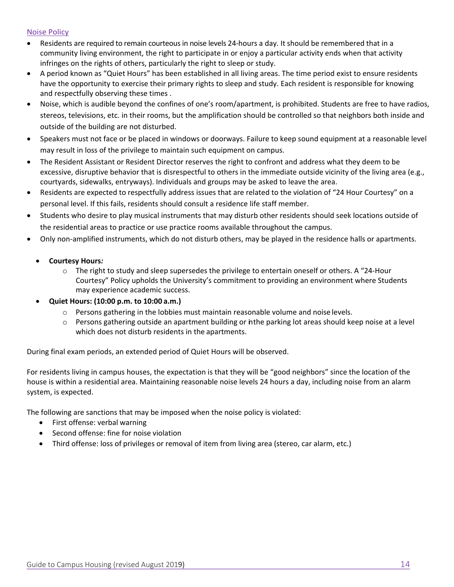#### Noise Policy

- Residents are required to remain courteous in noise levels 24-hours a day. It should be remembered that in a community living environment, the right to participate in or enjoy a particular activity ends when that activity infringes on the rights of others, particularly the right to sleep or study.
- A period known as "Quiet Hours" has been established in all living areas. The time period exist to ensure residents have the opportunity to exercise their primary rights to sleep and study. Each resident is responsible for knowing and respectfully observing these times .
- Noise, which is audible beyond the confines of one's room/apartment, is prohibited. Students are free to have radios, stereos, televisions, etc. in their rooms, but the amplification should be controlled so that neighbors both inside and outside of the building are not disturbed.
- Speakers must not face or be placed in windows or doorways. Failure to keep sound equipment at a reasonable level may result in loss of the privilege to maintain such equipment on campus.
- The Resident Assistant or Resident Director reserves the right to confront and address what they deem to be excessive, disruptive behavior that is disrespectful to others in the immediate outside vicinity of the living area (e.g., courtyards, sidewalks, entryways). Individuals and groups may be asked to leave the area.
- Residents are expected to respectfully address issues that are related to the violation of "24 Hour Courtesy" on a personal level. If this fails, residents should consult a residence life staff member.
- Students who desire to play musical instruments that may disturb other residents should seek locations outside of the residential areas to practice or use practice rooms available throughout the campus.
- Only non-amplified instruments, which do not disturb others, may be played in the residence halls or apartments.

#### **Courtesy Hours***:*

o The right to study and sleep supersedes the privilege to entertain oneself or others. A "24‐Hour Courtesy" Policy upholds the University's commitment to providing an environment where Students may experience academic success.

#### **Quiet Hours: (10:00 p.m. to 10:00 a.m.)**

- o Persons gathering in the lobbies must maintain reasonable volume and noise levels.
- $\circ$  Persons gathering outside an apartment building or in the parking lot areas should keep noise at a level which does not disturb residents in the apartments.

During final exam periods, an extended period of Quiet Hours will be observed.

For residents living in campus houses, the expectation is that they will be "good neighbors" since the location of the house is within a residential area. Maintaining reasonable noise levels 24 hours a day, including noise from an alarm system, is expected.

The following are sanctions that may be imposed when the noise policy is violated:

- First offense: verbal warning
- Second offense: fine for noise violation
- Third offense: loss of privileges or removal of item from living area (stereo, car alarm, etc.)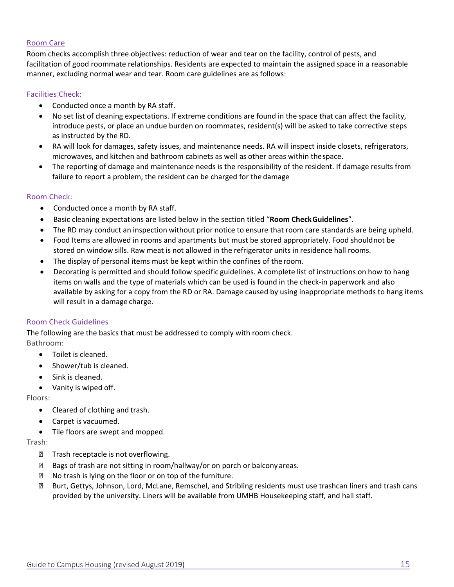#### Room Care

Room checks accomplish three objectives: reduction of wear and tear on the facility, control of pests, and facilitation of good roommate relationships. Residents are expected to maintain the assigned space in a reasonable manner, excluding normal wear and tear. Room care guidelines are as follows:

#### Facilities Check:

- Conducted once a month by RA staff.
- No set list of cleaning expectations. If extreme conditions are found in the space that can affect the facility, introduce pests, or place an undue burden on roommates, resident(s) will be asked to take corrective steps as instructed by the RD.
- RA will look for damages, safety issues, and maintenance needs. RA will inspect inside closets, refrigerators, microwaves, and kitchen and bathroom cabinets as well as other areas within the space.
- The reporting of damage and maintenance needs is the responsibility of the resident. If damage results from failure to report a problem, the resident can be charged for the damage

#### Room Check:

- Conducted once a month by RA staff.
- Basic cleaning expectations are listed below in the section titled "**Room Check Guidelines**".
- The RD may conduct an inspection without prior notice to ensure that room care standards are being upheld.
- Food Items are allowed in rooms and apartments but must be stored appropriately. Food should not be stored on window sills. Raw meat is not allowed in the refrigerator units in residence hall rooms.
- The display of personal items must be kept within the confines of the room.
- Decorating is permitted and should follow specific guidelines. A complete list of instructions on how to hang items on walls and the type of materials which can be used is found in the check‐in paperwork and also available by asking for a copy from the RD or RA. Damage caused by using inappropriate methods to hang items will result in a damage charge.

#### Room Check Guidelines

The following are the basics that must be addressed to comply with room check. Bathroom:

- Toilet is cleaned.
- Shower/tub is cleaned.
- Sink is cleaned.
- Vanity is wiped off.

Floors:

- Cleared of clothing and trash.
- Carpet is vacuumed.
- Tile floors are swept and mopped.

Trash:

- **Trash receptacle is not overflowing.**
- **Bags of trash are not sitting in room/hallway/or on porch or balcony areas.**
- No trash is lying on the floor or on top of the furniture.
- Burt, Gettys, Johnson, Lord, McLane, Remschel, and Stribling residents must use trashcan liners and trash cans provided by the university. Liners will be available from UMHB Housekeeping staff, and hall staff.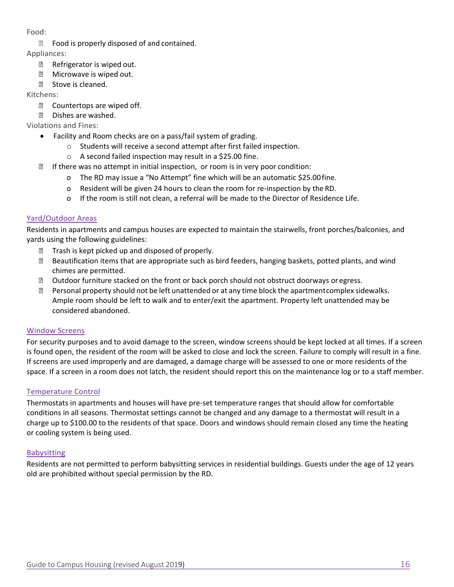#### Food:

**EXECUTE:** Food is properly disposed of and contained.

Appliances:

- Refrigerator is wiped out.
- **Microwave is wiped out.**
- **Eld** Stove is cleaned.

Kitchens:

- **P** Countertops are wiped off.
- **P** Dishes are washed.

Violations and Fines:

- Facility and Room checks are on a pass/fail system of grading.
	- o Students will receive a second attempt after first failed inspection.
		- o A second failed inspection may result in a \$25.00 fine.
- **If there was no attempt in initial inspection, or room is in very poor condition:** 
	- o The RD may issue a "No Attempt" fine which will be an automatic \$25.00 fine.
	- o Resident will be given 24 hours to clean the room for re‐inspection by the RD.
	- o If the room is still not clean, a referral will be made to the Director of Residence Life.

#### Yard/Outdoor Areas

Residents in apartments and campus houses are expected to maintain the stairwells, front porches/balconies, and yards using the following guidelines:

- $\mathbb D$  Trash is kept picked up and disposed of properly.
- Beautification items that are appropriate such as bird feeders, hanging baskets, potted plants, and wind chimes are permitted.
- Outdoor furniture stacked on the front or back porch should not obstruct doorways or egress.
- $\Box$  Personal property should not be left unattended or at any time block the apartment complex sidewalks. Ample room should be left to walk and to enter/exit the apartment. Property left unattended may be considered abandoned.

#### Window Screens

For security purposes and to avoid damage to the screen, window screens should be kept locked at all times. If a screen is found open, the resident of the room will be asked to close and lock the screen. Failure to comply will result in a fine. If screens are used improperly and are damaged, a damage charge will be assessed to one or more residents of the space. If a screen in a room does not latch, the resident should report this on the maintenance log or to a staff member.

#### Temperature Control

Thermostats in apartments and houses will have pre‐set temperature ranges that should allow for comfortable conditions in all seasons. Thermostat settings cannot be changed and any damage to a thermostat will result in a charge up to \$100.00 to the residents of that space. Doors and windows should remain closed any time the heating or cooling system is being used.

#### Babysitting

Residents are not permitted to perform babysitting services in residential buildings. Guests under the age of 12 years old are prohibited without special permission by the RD.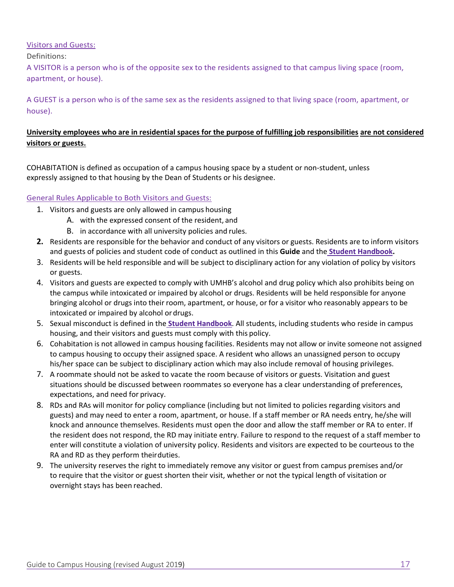#### Visitors and Guests:

#### Definitions:

A VISITOR is a person who is of the opposite sex to the residents assigned to that campus living space (room, apartment, or house).

A GUEST is a person who is of the same sex as the residents assigned to that living space (room, apartment, or house).

#### **University employees who are in residential spaces for the purpose of fulfilling job responsibilities are not considered visitors or guests.**

COHABITATION is defined as occupation of a campus housing space by a student or non‐student, unless expressly assigned to that housing by the Dean of Students or his designee.

#### General Rules Applicable to Both Visitors and Guests:

- 1. Visitors and guests are only allowed in campus housing
	- A. with the expressed consent of the resident, and
	- B. in accordance with all university policies and rules.
- **2.** Residents are responsible for the behavior and conduct of any visitors or guests. Residents are to inform visitors and guests of policies and student code of conduct as outlined in this **Guide** and the **Student Handbook.**
- 3. Residents will be held responsible and will be subject to disciplinary action for any violation of policy by visitors or guests.
- 4. Visitors and guests are expected to comply with UMHB's alcohol and drug policy which also prohibits being on the campus while intoxicated or impaired by alcohol or drugs. Residents will be held responsible for anyone bringing alcohol or drugs into their room, apartment, or house, or for a visitor who reasonably appears to be intoxicated or impaired by alcohol or drugs.
- 5. Sexual misconduct is defined in the **Student Handbook**. All students, including students who reside in campus housing, and their visitors and guests must comply with this policy.
- 6. Cohabitation is not allowed in campus housing facilities. Residents may not allow or invite someone not assigned to campus housing to occupy their assigned space. A resident who allows an unassigned person to occupy his/her space can be subject to disciplinary action which may also include removal of housing privileges.
- 7. A roommate should not be asked to vacate the room because of visitors or guests. Visitation and guest situations should be discussed between roommates so everyone has a clear understanding of preferences, expectations, and need for privacy.
- 8. RDs and RAs will monitor for policy compliance (including but not limited to policies regarding visitors and guests) and may need to enter a room, apartment, or house. If a staff member or RA needs entry, he/she will knock and announce themselves. Residents must open the door and allow the staff member or RA to enter. If the resident does not respond, the RD may initiate entry. Failure to respond to the request of a staff member to enter will constitute a violation of university policy. Residents and visitors are expected to be courteous to the RA and RD as they perform their duties.
- 9. The university reserves the right to immediately remove any visitor or guest from campus premises and/or to require that the visitor or guest shorten their visit, whether or not the typical length of visitation or overnight stays has been reached.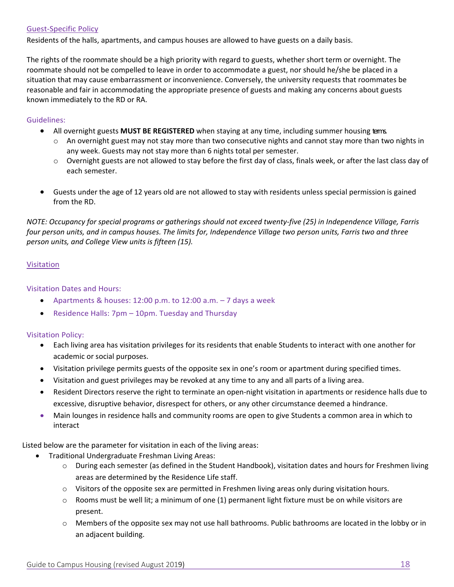#### Guest‐Specific Policy

Residents of the halls, apartments, and campus houses are allowed to have guests on a daily basis.

The rights of the roommate should be a high priority with regard to guests, whether short term or overnight. The roommate should not be compelled to leave in order to accommodate a guest, nor should he/she be placed in a situation that may cause embarrassment or inconvenience. Conversely, the university requests that roommates be reasonable and fair in accommodating the appropriate presence of guests and making any concerns about guests known immediately to the RD or RA.

#### Guidelines:

- All overnight guests **MUST BE REGISTERED** when staying at any time, including summer housing terms.
	- $\circ$  An overnight guest may not stay more than two consecutive nights and cannot stay more than two nights in any week. Guests may not stay more than 6 nights total per semester.
	- $\circ$  Overnight guests are not allowed to stay before the first day of class, finals week, or after the last class day of each semester.
- Guests under the age of 12 years old are not allowed to stay with residents unless special permission is gained from the RD.

*NOTE: Occupancy for special programs or gatherings should not exceed twenty‐five (25) in Independence Village, Farris four person units, and in campus houses. The limits for, Independence Village two person units, Farris two and three person units, and College View units is fifteen (15).* 

#### Visitation

#### Visitation Dates and Hours:

- Apartments & houses:  $12:00$  p.m. to  $12:00$  a.m.  $-7$  days a week
- Residence Halls: 7pm 10pm. Tuesday and Thursday

#### Visitation Policy:

- Each living area has visitation privileges for its residents that enable Students to interact with one another for academic or social purposes.
- Visitation privilege permits guests of the opposite sex in one's room or apartment during specified times.
- Visitation and guest privileges may be revoked at any time to any and all parts of a living area.
- Resident Directors reserve the right to terminate an open-night visitation in apartments or residence halls due to excessive, disruptive behavior, disrespect for others, or any other circumstance deemed a hindrance.
- Main lounges in residence halls and community rooms are open to give Students a common area in which to interact

Listed below are the parameter for visitation in each of the living areas:

- Traditional Undergraduate Freshman Living Areas:
	- o During each semester (as defined in the Student Handbook), visitation dates and hours for Freshmen living areas are determined by the Residence Life staff.
	- o Visitors of the opposite sex are permitted in Freshmen living areas only during visitation hours.
	- $\circ$  Rooms must be well lit; a minimum of one (1) permanent light fixture must be on while visitors are present.
	- o Members of the opposite sex may not use hall bathrooms. Public bathrooms are located in the lobby or in an adjacent building.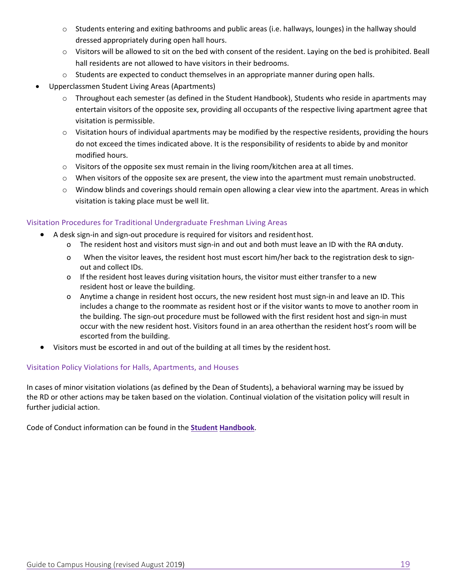- o Students entering and exiting bathrooms and public areas (i.e. hallways, lounges) in the hallway should dressed appropriately during open hall hours.
- o Visitors will be allowed to sit on the bed with consent of the resident. Laying on the bed is prohibited. Beall hall residents are not allowed to have visitors in their bedrooms.
- $\circ$  Students are expected to conduct themselves in an appropriate manner during open halls.
- Upperclassmen Student Living Areas (Apartments)
	- o Throughout each semester (as defined in the Student Handbook), Students who reside in apartments may entertain visitors of the opposite sex, providing all occupants of the respective living apartment agree that visitation is permissible.
	- $\circ$  Visitation hours of individual apartments may be modified by the respective residents, providing the hours do not exceed the times indicated above. It is the responsibility of residents to abide by and monitor modified hours.
	- $\circ$  Visitors of the opposite sex must remain in the living room/kitchen area at all times.
	- o When visitors of the opposite sex are present, the view into the apartment must remain unobstructed.
	- o Window blinds and coverings should remain open allowing a clear view into the apartment. Areas in which visitation is taking place must be well lit.

#### Visitation Procedures for Traditional Undergraduate Freshman Living Areas

- A desk sign‐in and sign‐out procedure is required for visitors and resident host.
	- o The resident host and visitors must sign-in and out and both must leave an ID with the RA onduty.
	- o When the visitor leaves, the resident host must escort him/her back to the registration desk to sign‐ out and collect IDs.
	- o If the resident host leaves during visitation hours, the visitor must either transfer to a new resident host or leave the building.
	- o Anytime a change in resident host occurs, the new resident host must sign‐in and leave an ID. This includes a change to the roommate as resident host or if the visitor wants to move to another room in the building. The sign‐out procedure must be followed with the first resident host and sign‐in must occur with the new resident host. Visitors found in an area other than the resident host's room will be escorted from the building.
- Visitors must be escorted in and out of the building at all times by the resident host.

#### Visitation Policy Violations for Halls, Apartments, and Houses

In cases of minor visitation violations (as defined by the Dean of Students), a behavioral warning may be issued by the RD or other actions may be taken based on the violation. Continual violation of the visitation policy will result in further judicial action.

Code of Conduct information can be found in the **Student Handbook**.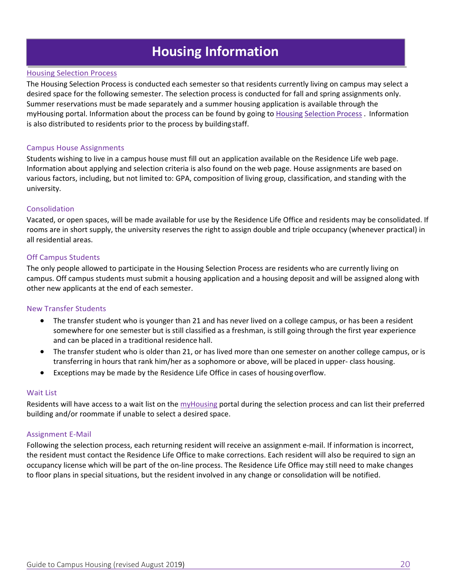# **Housing Information**

#### Housing Selection Process

The Housing Selection Process is conducted each semester so that residents currently living on campus may select a desired space for the following semester. The selection process is conducted for fall and spring assignments only. Summer reservations must be made separately and a summer housing application is available through the myHousing portal. Information about the process can be found by going to Housing Selection Process . Information is also distributed to residents prior to the process by building staff.

#### Campus House Assignments

Students wishing to live in a campus house must fill out an application available on the Residence Life web page. Information about applying and selection criteria is also found on the web page. House assignments are based on various factors, including, but not limited to: GPA, composition of living group, classification, and standing with the university.

#### Consolidation

Vacated, or open spaces, will be made available for use by the Residence Life Office and residents may be consolidated. If rooms are in short supply, the university reserves the right to assign double and triple occupancy (whenever practical) in all residential areas.

#### Off Campus Students

The only people allowed to participate in the Housing Selection Process are residents who are currently living on campus. Off campus students must submit a housing application and a housing deposit and will be assigned along with other new applicants at the end of each semester.

#### New Transfer Students

- The transfer student who is younger than 21 and has never lived on a college campus, or has been a resident somewhere for one semester but is still classified as a freshman, is still going through the first year experience and can be placed in a traditional residence hall.
- The transfer student who is older than 21, or has lived more than one semester on another college campus, or is transferring in hours that rank him/her as a sophomore or above, will be placed in upper‐ class housing.
- Exceptions may be made by the Residence Life Office in cases of housing overflow.

#### Wait List

Residents will have access to a wait list on the myHousing portal during the selection process and can list their preferred building and/or roommate if unable to select a desired space.

#### Assignment E‐Mail

Following the selection process, each returning resident will receive an assignment e-mail. If information is incorrect, the resident must contact the Residence Life Office to make corrections. Each resident will also be required to sign an occupancy license which will be part of the on‐line process. The Residence Life Office may still need to make changes to floor plans in special situations, but the resident involved in any change or consolidation will be notified.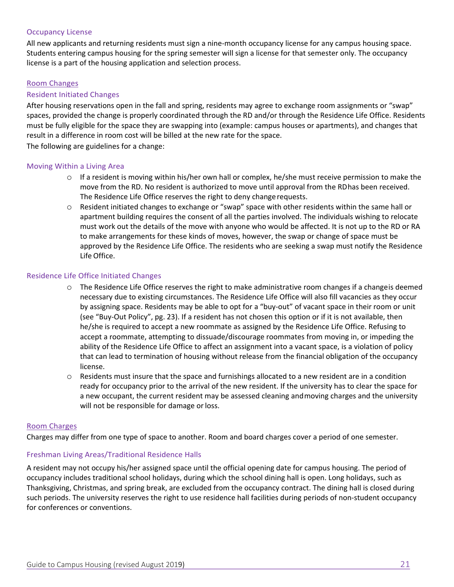#### Occupancy License

All new applicants and returning residents must sign a nine‐month occupancy license for any campus housing space. Students entering campus housing for the spring semester will sign a license for that semester only. The occupancy license is a part of the housing application and selection process.

#### Room Changes

#### Resident Initiated Changes

After housing reservations open in the fall and spring, residents may agree to exchange room assignments or "swap" spaces, provided the change is properly coordinated through the RD and/or through the Residence Life Office. Residents must be fully eligible for the space they are swapping into (example: campus houses or apartments), and changes that result in a difference in room cost will be billed at the new rate for the space.

The following are guidelines for a change:

#### Moving Within a Living Area

- $\circ$  If a resident is moving within his/her own hall or complex, he/she must receive permission to make the move from the RD. No resident is authorized to move until approval from the RD has been received. The Residence Life Office reserves the right to deny change requests.
- o Resident initiated changes to exchange or "swap" space with other residents within the same hall or apartment building requires the consent of all the parties involved. The individuals wishing to relocate must work out the details of the move with anyone who would be affected. It is not up to the RD or RA to make arrangements for these kinds of moves, however, the swap or change of space must be approved by the Residence Life Office. The residents who are seeking a swap must notify the Residence Life Office.

#### Residence Life Office Initiated Changes

- $\circ$  The Residence Life Office reserves the right to make administrative room changes if a changeis deemed necessary due to existing circumstances. The Residence Life Office will also fill vacancies as they occur by assigning space. Residents may be able to opt for a "buy‐out" of vacant space in their room or unit (see "Buy‐Out Policy", pg. 23). If a resident has not chosen this option or if it is not available, then he/she is required to accept a new roommate as assigned by the Residence Life Office. Refusing to accept a roommate, attempting to dissuade/discourage roommates from moving in, or impeding the ability of the Residence Life Office to affect an assignment into a vacant space, is a violation of policy that can lead to termination of housing without release from the financial obligation of the occupancy license.
- $\circ$  Residents must insure that the space and furnishings allocated to a new resident are in a condition ready for occupancy prior to the arrival of the new resident. If the university has to clear the space for a new occupant, the current resident may be assessed cleaning and moving charges and the university will not be responsible for damage or loss.

#### Room Charges

Charges may differ from one type of space to another. Room and board charges cover a period of one semester.

#### Freshman Living Areas/Traditional Residence Halls

A resident may not occupy his/her assigned space until the official opening date for campus housing. The period of occupancy includes traditional school holidays, during which the school dining hall is open. Long holidays, such as Thanksgiving, Christmas, and spring break, are excluded from the occupancy contract. The dining hall is closed during such periods. The university reserves the right to use residence hall facilities during periods of non‐student occupancy for conferences or conventions.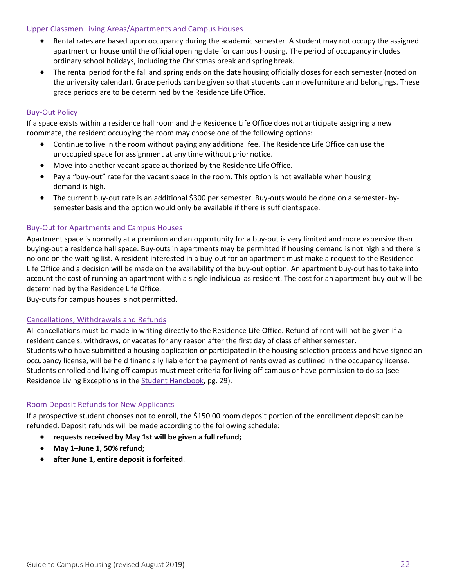#### Upper Classmen Living Areas/Apartments and Campus Houses

- Rental rates are based upon occupancy during the academic semester. A student may not occupy the assigned apartment or house until the official opening date for campus housing. The period of occupancy includes ordinary school holidays, including the Christmas break and spring break.
- The rental period for the fall and spring ends on the date housing officially closes for each semester (noted on the university calendar). Grace periods can be given so that students can move furniture and belongings. These grace periods are to be determined by the Residence Life Office.

#### Buy‐Out Policy

If a space exists within a residence hall room and the Residence Life Office does not anticipate assigning a new roommate, the resident occupying the room may choose one of the following options:

- Continue to live in the room without paying any additional fee. The Residence Life Office can use the unoccupied space for assignment at any time without prior notice.
- Move into another vacant space authorized by the Residence Life Office.
- Pay a "buy-out" rate for the vacant space in the room. This option is not available when housing demand is high.
- The current buy-out rate is an additional \$300 per semester. Buy-outs would be done on a semester- bysemester basis and the option would only be available if there is sufficient space.

#### Buy‐Out for Apartments and Campus Houses

Apartment space is normally at a premium and an opportunity for a buy‐out is very limited and more expensive than buying-out a residence hall space. Buy-outs in apartments may be permitted if housing demand is not high and there is no one on the waiting list. A resident interested in a buy‐out for an apartment must make a request to the Residence Life Office and a decision will be made on the availability of the buy-out option. An apartment buy-out has to take into account the cost of running an apartment with a single individual as resident. The cost for an apartment buy-out will be determined by the Residence Life Office.

Buy‐outs for campus houses is not permitted.

#### Cancellations, Withdrawals and Refunds

All cancellations must be made in writing directly to the Residence Life Office. Refund of rent will not be given if a resident cancels, withdraws, or vacates for any reason after the first day of class of either semester. Students who have submitted a housing application or participated in the housing selection process and have signed an occupancy license, will be held financially liable for the payment of rents owed as outlined in the occupancy license. Students enrolled and living off campus must meet criteria for living off campus or have permission to do so (see Residence Living Exceptions in the Student Handbook, pg. 29).

#### Room Deposit Refunds for New Applicants

If a prospective student chooses not to enroll, the \$150.00 room deposit portion of the enrollment deposit can be refunded. Deposit refunds will be made according to the following schedule:

- **requests received by May 1st will be given a full refund;**
- **May 1–June 1, 50% refund;**
- **after June 1, entire deposit is forfeited**.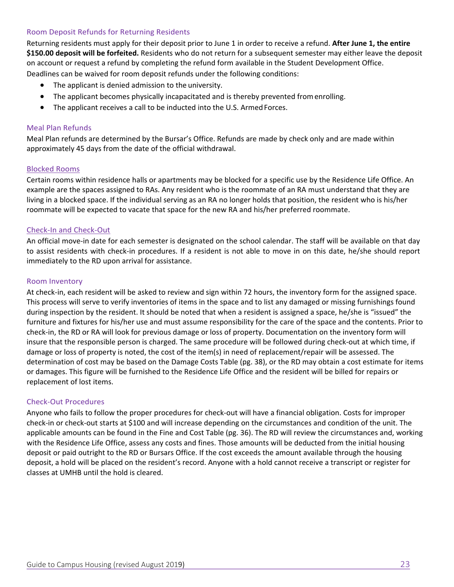#### Room Deposit Refunds for Returning Residents

Returning residents must apply for their deposit prior to June 1 in order to receive a refund. **After June 1, the entire \$150.00 deposit will be forfeited.** Residents who do not return for a subsequent semester may either leave the deposit on account or request a refund by completing the refund form available in the Student Development Office.

Deadlines can be waived for room deposit refunds under the following conditions:

- The applicant is denied admission to the university.
- The applicant becomes physically incapacitated and is thereby prevented from enrolling.
- The applicant receives a call to be inducted into the U.S. Armed Forces.

#### Meal Plan Refunds

Meal Plan refunds are determined by the Bursar's Office. Refunds are made by check only and are made within approximately 45 days from the date of the official withdrawal.

#### Blocked Rooms

Certain rooms within residence halls or apartments may be blocked for a specific use by the Residence Life Office. An example are the spaces assigned to RAs. Any resident who is the roommate of an RA must understand that they are living in a blocked space. If the individual serving as an RA no longer holds that position, the resident who is his/her roommate will be expected to vacate that space for the new RA and his/her preferred roommate.

#### Check‐In and Check‐Out

An official move-in date for each semester is designated on the school calendar. The staff will be available on that day to assist residents with check-in procedures. If a resident is not able to move in on this date, he/she should report immediately to the RD upon arrival for assistance.

#### Room Inventory

At check‐in, each resident will be asked to review and sign within 72 hours, the inventory form for the assigned space. This process will serve to verify inventories of items in the space and to list any damaged or missing furnishings found during inspection by the resident. It should be noted that when a resident is assigned a space, he/she is "issued" the furniture and fixtures for his/her use and must assume responsibility for the care of the space and the contents. Prior to check‐in, the RD or RA will look for previous damage or loss of property. Documentation on the inventory form will insure that the responsible person is charged. The same procedure will be followed during check-out at which time, if damage or loss of property is noted, the cost of the item(s) in need of replacement/repair will be assessed. The determination of cost may be based on the Damage Costs Table (pg. 38), or the RD may obtain a cost estimate for items or damages. This figure will be furnished to the Residence Life Office and the resident will be billed for repairs or replacement of lost items.

#### Check‐Out Procedures

Anyone who fails to follow the proper procedures for check‐out will have a financial obligation. Costs for improper check‐in or check‐out starts at \$100 and will increase depending on the circumstances and condition of the unit. The applicable amounts can be found in the Fine and Cost Table (pg. 36). The RD will review the circumstances and, working with the Residence Life Office, assess any costs and fines. Those amounts will be deducted from the initial housing deposit or paid outright to the RD or Bursars Office. If the cost exceeds the amount available through the housing deposit, a hold will be placed on the resident's record. Anyone with a hold cannot receive a transcript or register for classes at UMHB until the hold is cleared.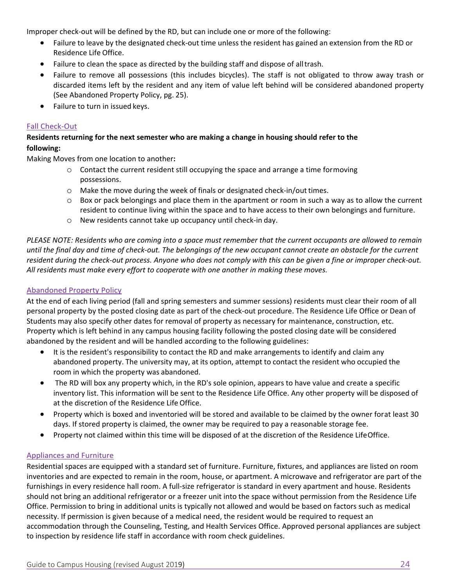Improper check-out will be defined by the RD, but can include one or more of the following:

- Failure to leave by the designated check‐out time unless the resident has gained an extension from the RD or Residence Life Office.
- Failure to clean the space as directed by the building staff and dispose of all trash.
- Failure to remove all possessions (this includes bicycles). The staff is not obligated to throw away trash or discarded items left by the resident and any item of value left behind will be considered abandoned property (See Abandoned Property Policy, pg. 25).
- Failure to turn in issued keys.

#### Fall Check‐Out

#### **Residents returning for the next semester who are making a change in housing should refer to the following:**

Making Moves from one location to another**:** 

- $\circ$  Contact the current resident still occupying the space and arrange a time for moving possessions.
- o Make the move during the week of finals or designated check‐in/out times.
- $\circ$  Box or pack belongings and place them in the apartment or room in such a way as to allow the current resident to continue living within the space and to have access to their own belongings and furniture.
- o New residents cannot take up occupancy until check‐in day.

*PLEASE NOTE: Residents who are coming into a space must remember that the current occupants are allowed to remain until the final day and time of check‐out. The belongings of the new occupant cannot create an obstacle for the current resident during the check‐out process. Anyone who does not comply with this can be given a fine or improper check‐out. All residents must make every effort to cooperate with one another in making these moves.* 

#### Abandoned Property Policy

At the end of each living period (fall and spring semesters and summer sessions) residents must clear their room of all personal property by the posted closing date as part of the check-out procedure. The Residence Life Office or Dean of Students may also specify other dates for removal of property as necessary for maintenance, construction, etc. Property which is left behind in any campus housing facility following the posted closing date will be considered abandoned by the resident and will be handled according to the following guidelines:

- It is the resident's responsibility to contact the RD and make arrangements to identify and claim any abandoned property. The university may, at its option, attempt to contact the resident who occupied the room in which the property was abandoned.
- The RD will box any property which, in the RD's sole opinion, appears to have value and create a specific inventory list. This information will be sent to the Residence Life Office. Any other property will be disposed of at the discretion of the Residence Life Office.
- Property which is boxed and inventoried will be stored and available to be claimed by the owner forat least 30 days. If stored property is claimed, the owner may be required to pay a reasonable storage fee.
- Property not claimed within this time will be disposed of at the discretion of the Residence Life Office.

#### Appliances and Furniture

Residential spaces are equipped with a standard set of furniture. Furniture, fixtures, and appliances are listed on room inventories and are expected to remain in the room, house, or apartment. A microwave and refrigerator are part of the furnishings in every residence hall room. A full-size refrigerator is standard in every apartment and house. Residents should not bring an additional refrigerator or a freezer unit into the space without permission from the Residence Life Office. Permission to bring in additional units is typically not allowed and would be based on factors such as medical necessity. If permission is given because of a medical need, the resident would be required to request an accommodation through the Counseling, Testing, and Health Services Office. Approved personal appliances are subject to inspection by residence life staff in accordance with room check guidelines.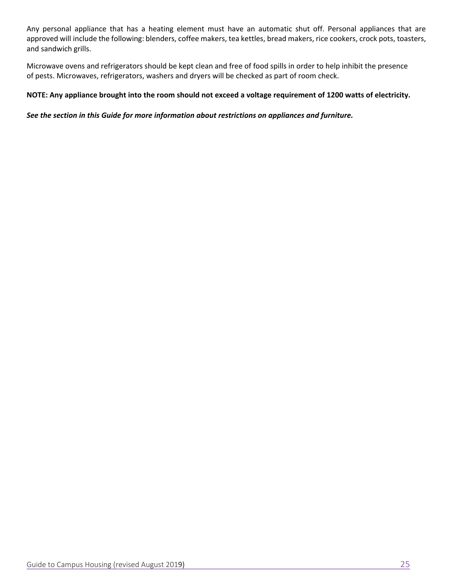Any personal appliance that has a heating element must have an automatic shut off. Personal appliances that are approved will include the following: blenders, coffee makers, tea kettles, bread makers, rice cookers, crock pots, toasters, and sandwich grills.

Microwave ovens and refrigerators should be kept clean and free of food spills in order to help inhibit the presence of pests. Microwaves, refrigerators, washers and dryers will be checked as part of room check.

#### **NOTE: Any appliance brought into the room should not exceed a voltage requirement of 1200 watts of electricity.**

#### *See the section in this Guide for more information about restrictions on appliances and furniture.*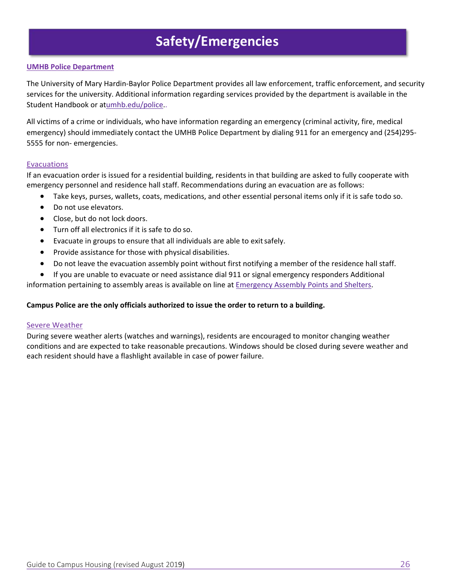# **Safety/Emergencies**

#### **UMHB Police Department**

The University of Mary Hardin‐Baylor Police Department provides all law enforcement, traffic enforcement, and security services for the university. Additional information regarding services provided by the department is available in the Student Handbook or atumhb.edu/police..

All victims of a crime or individuals, who have information regarding an emergency (criminal activity, fire, medical emergency) should immediately contact the UMHB Police Department by dialing 911 for an emergency and (254)295-5555 for non‐ emergencies.

#### Evacuations

If an evacuation order is issued for a residential building, residents in that building are asked to fully cooperate with emergency personnel and residence hall staff. Recommendations during an evacuation are as follows:

- Take keys, purses, wallets, coats, medications, and other essential personal items only if it is safe to do so.
- Do not use elevators.
- Close, but do not lock doors.
- Turn off all electronics if it is safe to do so.
- Evacuate in groups to ensure that all individuals are able to exit safely.
- Provide assistance for those with physical disabilities.
- Do not leave the evacuation assembly point without first notifying a member of the residence hall staff.
- If you are unable to evacuate or need assistance dial 911 or signal emergency responders Additional

information pertaining to assembly areas is available on line at **Emergency Assembly Points and Shelters**.

#### **Campus Police are the only officials authorized to issue the order to return to a building.**

#### Severe Weather

During severe weather alerts (watches and warnings), residents are encouraged to monitor changing weather conditions and are expected to take reasonable precautions. Windows should be closed during severe weather and each resident should have a flashlight available in case of power failure.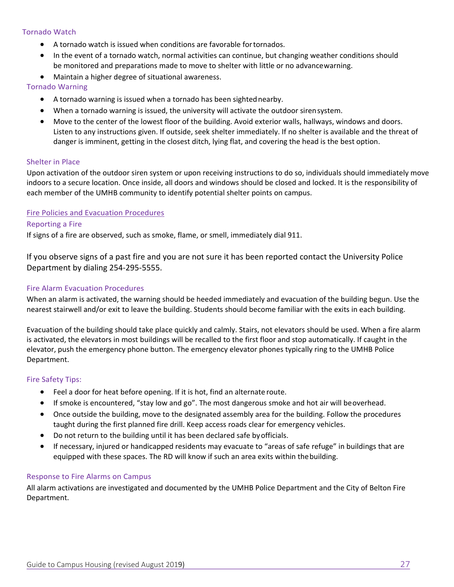#### Tornado Watch

- A tornado watch is issued when conditions are favorable for tornados.
- In the event of a tornado watch, normal activities can continue, but changing weather conditions should be monitored and preparations made to move to shelter with little or no advance warning.
- Maintain a higher degree of situational awareness.

#### Tornado Warning

- A tornado warning is issued when a tornado has been sighted nearby.
- When a tornado warning is issued, the university will activate the outdoor siren system.
- Move to the center of the lowest floor of the building. Avoid exterior walls, hallways, windows and doors. Listen to any instructions given. If outside, seek shelter immediately. If no shelter is available and the threat of danger is imminent, getting in the closest ditch, lying flat, and covering the head is the best option.

#### Shelter in Place

Upon activation of the outdoor siren system or upon receiving instructions to do so, individuals should immediately move indoors to a secure location. Once inside, all doors and windows should be closed and locked. It is the responsibility of each member of the UMHB community to identify potential shelter points on campus.

#### Fire Policies and Evacuation Procedures

#### Reporting a Fire

If signs of a fire are observed, such as smoke, flame, or smell, immediately dial 911.

If you observe signs of a past fire and you are not sure it has been reported contact the University Police Department by dialing 254‐295‐5555.

#### Fire Alarm Evacuation Procedures

When an alarm is activated, the warning should be heeded immediately and evacuation of the building begun. Use the nearest stairwell and/or exit to leave the building. Students should become familiar with the exits in each building.

Evacuation of the building should take place quickly and calmly. Stairs, not elevators should be used. When a fire alarm is activated, the elevators in most buildings will be recalled to the first floor and stop automatically. If caught in the elevator, push the emergency phone button. The emergency elevator phones typically ring to the UMHB Police Department.

#### Fire Safety Tips:

- Feel a door for heat before opening. If it is hot, find an alternate route.
- If smoke is encountered, "stay low and go". The most dangerous smoke and hot air will be overhead.
- Once outside the building, move to the designated assembly area for the building. Follow the procedures taught during the first planned fire drill. Keep access roads clear for emergency vehicles.
- Do not return to the building until it has been declared safe by officials.
- If necessary, injured or handicapped residents may evacuate to "areas of safe refuge" in buildings that are equipped with these spaces. The RD will know if such an area exits within the building.

#### Response to Fire Alarms on Campus

All alarm activations are investigated and documented by the UMHB Police Department and the City of Belton Fire Department.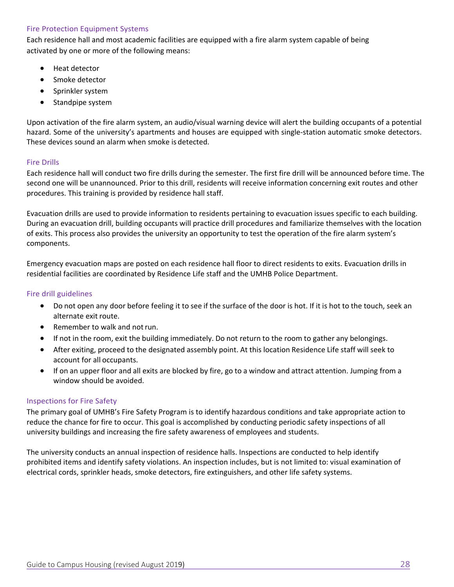#### Fire Protection Equipment Systems

Each residence hall and most academic facilities are equipped with a fire alarm system capable of being activated by one or more of the following means:

- **•** Heat detector
- Smoke detector
- Sprinkler system
- Standpipe system

Upon activation of the fire alarm system, an audio/visual warning device will alert the building occupants of a potential hazard. Some of the university's apartments and houses are equipped with single-station automatic smoke detectors. These devices sound an alarm when smoke is detected.

#### Fire Drills

Each residence hall will conduct two fire drills during the semester. The first fire drill will be announced before time. The second one will be unannounced. Prior to this drill, residents will receive information concerning exit routes and other procedures. This training is provided by residence hall staff.

Evacuation drills are used to provide information to residents pertaining to evacuation issues specific to each building. During an evacuation drill, building occupants will practice drill procedures and familiarize themselves with the location of exits. This process also provides the university an opportunity to test the operation of the fire alarm system's components.

Emergency evacuation maps are posted on each residence hall floor to direct residents to exits. Evacuation drills in residential facilities are coordinated by Residence Life staff and the UMHB Police Department.

#### Fire drill guidelines

- Do not open any door before feeling it to see if the surface of the door is hot. If it is hot to the touch, seek an alternate exit route.
- Remember to walk and not run.
- If not in the room, exit the building immediately. Do not return to the room to gather any belongings.
- After exiting, proceed to the designated assembly point. At this location Residence Life staff will seek to account for all occupants.
- If on an upper floor and all exits are blocked by fire, go to a window and attract attention. Jumping from a window should be avoided.

#### Inspections for Fire Safety

The primary goal of UMHB's Fire Safety Program is to identify hazardous conditions and take appropriate action to reduce the chance for fire to occur. This goal is accomplished by conducting periodic safety inspections of all university buildings and increasing the fire safety awareness of employees and students.

The university conducts an annual inspection of residence halls. Inspections are conducted to help identify prohibited items and identify safety violations. An inspection includes, but is not limited to: visual examination of electrical cords, sprinkler heads, smoke detectors, fire extinguishers, and other life safety systems.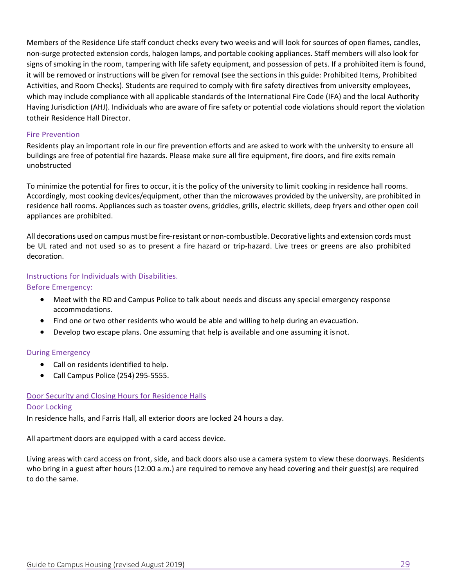Members of the Residence Life staff conduct checks every two weeks and will look for sources of open flames, candles, non‐surge protected extension cords, halogen lamps, and portable cooking appliances. Staff members will also look for signs of smoking in the room, tampering with life safety equipment, and possession of pets. If a prohibited item is found, it will be removed or instructions will be given for removal (see the sections in this guide: Prohibited Items, Prohibited Activities, and Room Checks). Students are required to comply with fire safety directives from university employees, which may include compliance with all applicable standards of the International Fire Code (IFA) and the local Authority Having Jurisdiction (AHJ). Individuals who are aware of fire safety or potential code violations should report the violation totheir Residence Hall Director.

#### Fire Prevention

Residents play an important role in our fire prevention efforts and are asked to work with the university to ensure all buildings are free of potential fire hazards. Please make sure all fire equipment, fire doors, and fire exits remain unobstructed

To minimize the potential for fires to occur, it is the policy of the university to limit cooking in residence hall rooms. Accordingly, most cooking devices/equipment, other than the microwaves provided by the university, are prohibited in residence hall rooms. Appliances such as toaster ovens, griddles, grills, electric skillets, deep fryers and other open coil appliances are prohibited.

All decorations used on campus must be fire‐resistant or non‐combustible. Decorative lights and extension cords must be UL rated and not used so as to present a fire hazard or trip-hazard. Live trees or greens are also prohibited decoration.

#### Instructions for Individuals with Disabilities.

Before Emergency:

- Meet with the RD and Campus Police to talk about needs and discuss any special emergency response accommodations.
- Find one or two other residents who would be able and willing to help during an evacuation.
- Develop two escape plans. One assuming that help is available and one assuming it is not.

#### During Emergency

- Call on residents identified to help.
- Call Campus Police (254) 295-5555.

#### Door Security and Closing Hours for Residence Halls

#### Door Locking

In residence halls, and Farris Hall, all exterior doors are locked 24 hours a day.

All apartment doors are equipped with a card access device.

Living areas with card access on front, side, and back doors also use a camera system to view these doorways. Residents who bring in a guest after hours (12:00 a.m.) are required to remove any head covering and their guest(s) are required to do the same.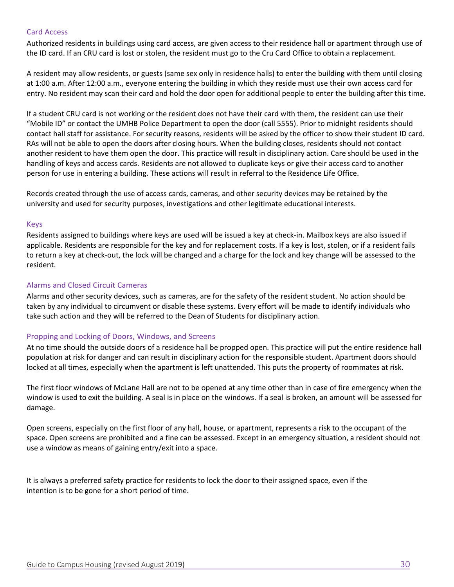#### Card Access

Authorized residents in buildings using card access, are given access to their residence hall or apartment through use of the ID card. If an CRU card is lost or stolen, the resident must go to the Cru Card Office to obtain a replacement.

A resident may allow residents, or guests (same sex only in residence halls) to enter the building with them until closing at 1:00 a.m. After 12:00 a.m., everyone entering the building in which they reside must use their own access card for entry. No resident may scan their card and hold the door open for additional people to enter the building after this time.

If a student CRU card is not working or the resident does not have their card with them, the resident can use their "Mobile ID" or contact the UMHB Police Department to open the door (call 5555). Prior to midnight residents should contact hall staff for assistance. For security reasons, residents will be asked by the officer to show their student ID card. RAs will not be able to open the doors after closing hours. When the building closes, residents should not contact another resident to have them open the door. This practice will result in disciplinary action. Care should be used in the handling of keys and access cards. Residents are not allowed to duplicate keys or give their access card to another person for use in entering a building. These actions will result in referral to the Residence Life Office.

Records created through the use of access cards, cameras, and other security devices may be retained by the university and used for security purposes, investigations and other legitimate educational interests.

#### Keys

Residents assigned to buildings where keys are used will be issued a key at check-in. Mailbox keys are also issued if applicable. Residents are responsible for the key and for replacement costs. If a key is lost, stolen, or if a resident fails to return a key at check‐out, the lock will be changed and a charge for the lock and key change will be assessed to the resident.

#### Alarms and Closed Circuit Cameras

Alarms and other security devices, such as cameras, are for the safety of the resident student. No action should be taken by any individual to circumvent or disable these systems. Every effort will be made to identify individuals who take such action and they will be referred to the Dean of Students for disciplinary action.

#### Propping and Locking of Doors, Windows, and Screens

At no time should the outside doors of a residence hall be propped open. This practice will put the entire residence hall population at risk for danger and can result in disciplinary action for the responsible student. Apartment doors should locked at all times, especially when the apartment is left unattended. This puts the property of roommates at risk.

The first floor windows of McLane Hall are not to be opened at any time other than in case of fire emergency when the window is used to exit the building. A seal is in place on the windows. If a seal is broken, an amount will be assessed for damage.

Open screens, especially on the first floor of any hall, house, or apartment, represents a risk to the occupant of the space. Open screens are prohibited and a fine can be assessed. Except in an emergency situation, a resident should not use a window as means of gaining entry/exit into a space.

It is always a preferred safety practice for residents to lock the door to their assigned space, even if the intention is to be gone for a short period of time.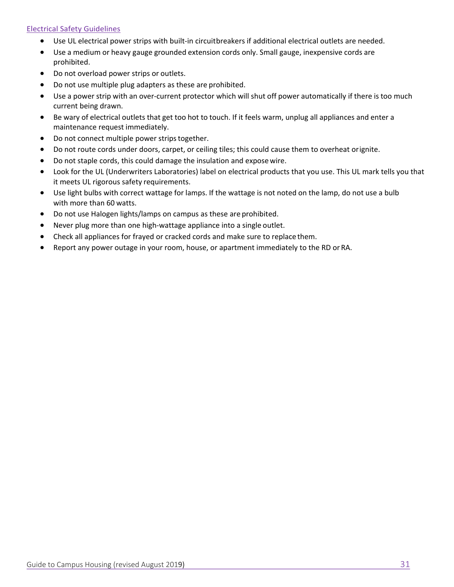#### Electrical Safety Guidelines

- Use UL electrical power strips with built-in circuit breakers if additional electrical outlets are needed.
- Use a medium or heavy gauge grounded extension cords only. Small gauge, inexpensive cords are prohibited.
- Do not overload power strips or outlets.
- Do not use multiple plug adapters as these are prohibited.
- Use a power strip with an over-current protector which will shut off power automatically if there is too much current being drawn.
- Be wary of electrical outlets that get too hot to touch. If it feels warm, unplug all appliances and enter a maintenance request immediately.
- Do not connect multiple power strips together.
- Do not route cords under doors, carpet, or ceiling tiles; this could cause them to overheat or ignite.
- Do not staple cords, this could damage the insulation and expose wire.
- Look for the UL (Underwriters Laboratories) label on electrical products that you use. This UL mark tells you that it meets UL rigorous safety requirements.
- Use light bulbs with correct wattage for lamps. If the wattage is not noted on the lamp, do not use a bulb with more than 60 watts.
- Do not use Halogen lights/lamps on campus as these are prohibited.
- Never plug more than one high‐wattage appliance into a single outlet.
- Check all appliances for frayed or cracked cords and make sure to replace them.
- Report any power outage in your room, house, or apartment immediately to the RD or RA.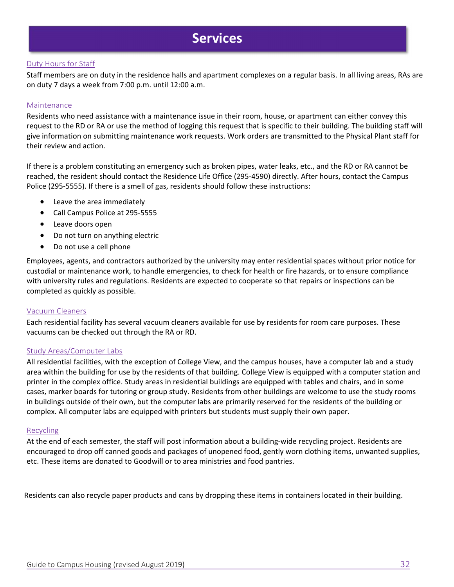### **Services**

#### Duty Hours for Staff

Staff members are on duty in the residence halls and apartment complexes on a regular basis. In all living areas, RAs are on duty 7 days a week from 7:00 p.m. until 12:00 a.m.

#### Maintenance

Residents who need assistance with a maintenance issue in their room, house, or apartment can either convey this request to the RD or RA or use the method of logging this request that is specific to their building. The building staff will give information on submitting maintenance work requests. Work orders are transmitted to the Physical Plant staff for their review and action.

If there is a problem constituting an emergency such as broken pipes, water leaks, etc., and the RD or RA cannot be reached, the resident should contact the Residence Life Office (295‐4590) directly. After hours, contact the Campus Police (295-5555). If there is a smell of gas, residents should follow these instructions:

- Leave the area immediately
- Call Campus Police at 295-5555
- Leave doors open
- Do not turn on anything electric
- Do not use a cell phone

Employees, agents, and contractors authorized by the university may enter residential spaces without prior notice for custodial or maintenance work, to handle emergencies, to check for health or fire hazards, or to ensure compliance with university rules and regulations. Residents are expected to cooperate so that repairs or inspections can be completed as quickly as possible.

#### Vacuum Cleaners

Each residential facility has several vacuum cleaners available for use by residents for room care purposes. These vacuums can be checked out through the RA or RD.

#### Study Areas/Computer Labs

All residential facilities, with the exception of College View, and the campus houses, have a computer lab and a study area within the building for use by the residents of that building. College View is equipped with a computer station and printer in the complex office. Study areas in residential buildings are equipped with tables and chairs, and in some cases, marker boards for tutoring or group study. Residents from other buildings are welcome to use the study rooms in buildings outside of their own, but the computer labs are primarily reserved for the residents of the building or complex. All computer labs are equipped with printers but students must supply their own paper.

#### **Recycling**

At the end of each semester, the staff will post information about a building‐wide recycling project. Residents are encouraged to drop off canned goods and packages of unopened food, gently worn clothing items, unwanted supplies, etc. These items are donated to Goodwill or to area ministries and food pantries.

Residents can also recycle paper products and cans by dropping these items in containers located in their building.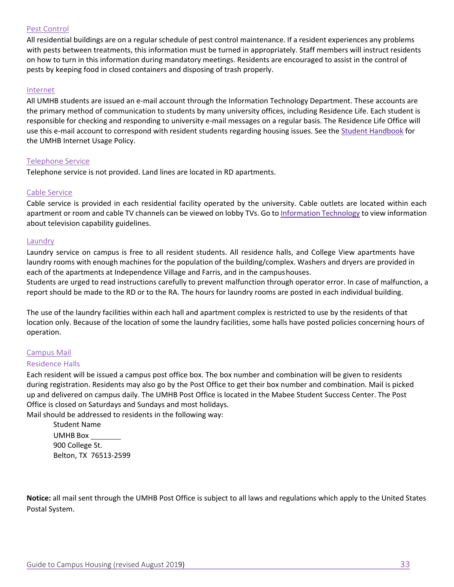#### Pest Control

All residential buildings are on a regular schedule of pest control maintenance. If a resident experiences any problems with pests between treatments, this information must be turned in appropriately. Staff members will instruct residents on how to turn in this information during mandatory meetings. Residents are encouraged to assist in the control of pests by keeping food in closed containers and disposing of trash properly.

#### Internet

All UMHB students are issued an e‐mail account through the Information Technology Department. These accounts are the primary method of communication to students by many university offices, including Residence Life. Each student is responsible for checking and responding to university e‐mail messages on a regular basis. The Residence Life Office will use this e-mail account to correspond with resident students regarding housing issues. See the Student Handbook for the UMHB Internet Usage Policy.

#### Telephone Service

Telephone service is not provided. Land lines are located in RD apartments.

#### Cable Service

Cable service is provided in each residential facility operated by the university. Cable outlets are located within each apartment or room and cable TV channels can be viewed on lobby TVs. Go to Information Technology to view information about television capability guidelines.

#### **Laundry**

Laundry service on campus is free to all resident students. All residence halls, and College View apartments have laundry rooms with enough machines for the population of the building/complex. Washers and dryers are provided in each of the apartments at Independence Village and Farris, and in the campus houses.

Students are urged to read instructions carefully to prevent malfunction through operator error. In case of malfunction, a report should be made to the RD or to the RA. The hours for laundry rooms are posted in each individual building.

The use of the laundry facilities within each hall and apartment complex is restricted to use by the residents of that location only. Because of the location of some the laundry facilities, some halls have posted policies concerning hours of operation.

#### Campus Mail

#### Residence Halls

Each resident will be issued a campus post office box. The box number and combination will be given to residents during registration. Residents may also go by the Post Office to get their box number and combination. Mail is picked up and delivered on campus daily. The UMHB Post Office is located in the Mabee Student Success Center. The Post Office is closed on Saturdays and Sundays and most holidays.

Mail should be addressed to residents in the following way:

Student Name UMHB Box 900 College St.

Belton, TX 76513‐2599

**Notice:** all mail sent through the UMHB Post Office is subject to all laws and regulations which apply to the United States Postal System.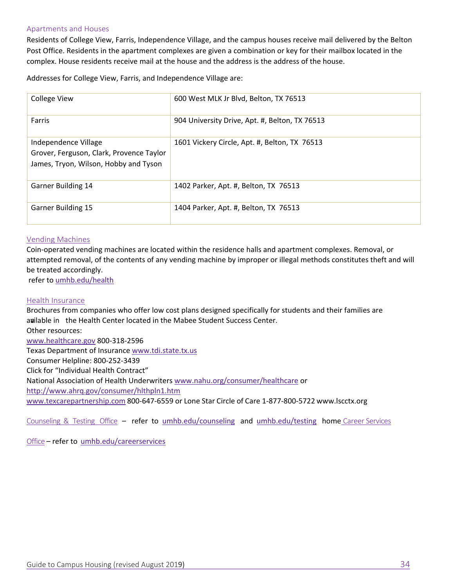#### Apartments and Houses

Residents of College View, Farris, Independence Village, and the campus houses receive mail delivered by the Belton Post Office. Residents in the apartment complexes are given a combination or key for their mailbox located in the complex. House residents receive mail at the house and the address is the address of the house.

Addresses for College View, Farris, and Independence Village are:

| <b>College View</b>                                                                                       | 600 West MLK Jr Blvd, Belton, TX 76513         |
|-----------------------------------------------------------------------------------------------------------|------------------------------------------------|
| Farris                                                                                                    | 904 University Drive, Apt. #, Belton, TX 76513 |
| Independence Village<br>Grover, Ferguson, Clark, Provence Taylor<br>James, Tryon, Wilson, Hobby and Tyson | 1601 Vickery Circle, Apt. #, Belton, TX 76513  |
| <b>Garner Building 14</b>                                                                                 | 1402 Parker, Apt. #, Belton, TX 76513          |
| <b>Garner Building 15</b>                                                                                 | 1404 Parker, Apt. #, Belton, TX 76513          |

#### Vending Machines

Coin‐operated vending machines are located within the residence halls and apartment complexes. Removal, or attempted removal, of the contents of any vending machine by improper or illegal methods constitutes theft and will be treated accordingly.

refer to umhb.edu/health

#### Health Insurance

Brochures from companies who offer low cost plans designed specifically for students and their families are available in the Health Center located in the Mabee Student Success Center. Other resources: www.healthcare.gov 800‐318‐2596 Texas Department of Insurance www.tdi.state.tx.us Consumer Helpline: 800‐252‐3439 Click for "Individual Health Contract" National Association of Health Underwriters www.nahu.org/consumer/healthcare or

http://www.ahrq.gov/consumer/hlthpln1.htm

www.texcarepartnership.com 800‐647‐6559 or Lone Star Circle of Care 1‐877‐800‐5722 www.lscctx.org

Counseling & Testing Office - refer to umhb.edu/counseling and umhb.edu/testing home Career Services

Office – refer to umhb.edu/careerservices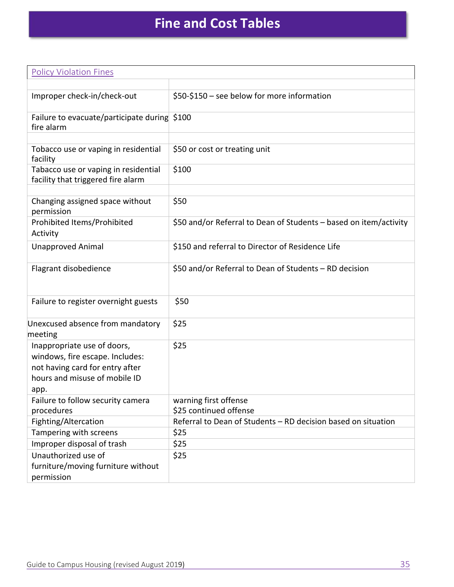# **Fine and Cost Tables**

| <b>Policy Violation Fines</b>                                                                                                              |                                                                   |
|--------------------------------------------------------------------------------------------------------------------------------------------|-------------------------------------------------------------------|
|                                                                                                                                            |                                                                   |
| Improper check-in/check-out                                                                                                                | \$50-\$150 - see below for more information                       |
| Failure to evacuate/participate during \$100<br>fire alarm                                                                                 |                                                                   |
|                                                                                                                                            |                                                                   |
| Tobacco use or vaping in residential<br>facility                                                                                           | \$50 or cost or treating unit                                     |
| Tabacco use or vaping in residential<br>facility that triggered fire alarm                                                                 | \$100                                                             |
|                                                                                                                                            |                                                                   |
| Changing assigned space without<br>permission                                                                                              | \$50                                                              |
| Prohibited Items/Prohibited<br>Activity                                                                                                    | \$50 and/or Referral to Dean of Students - based on item/activity |
| <b>Unapproved Animal</b>                                                                                                                   | \$150 and referral to Director of Residence Life                  |
| Flagrant disobedience                                                                                                                      | \$50 and/or Referral to Dean of Students - RD decision            |
| Failure to register overnight guests                                                                                                       | \$50                                                              |
| Unexcused absence from mandatory<br>meeting                                                                                                | \$25                                                              |
| Inappropriate use of doors,<br>windows, fire escape. Includes:<br>not having card for entry after<br>hours and misuse of mobile ID<br>app. | \$25                                                              |
| Failure to follow security camera<br>procedures                                                                                            | warning first offense<br>\$25 continued offense                   |
| Fighting/Altercation                                                                                                                       | Referral to Dean of Students - RD decision based on situation     |
| Tampering with screens                                                                                                                     | \$25                                                              |
| Improper disposal of trash                                                                                                                 | \$25                                                              |
| Unauthorized use of<br>furniture/moving furniture without<br>permission                                                                    | \$25                                                              |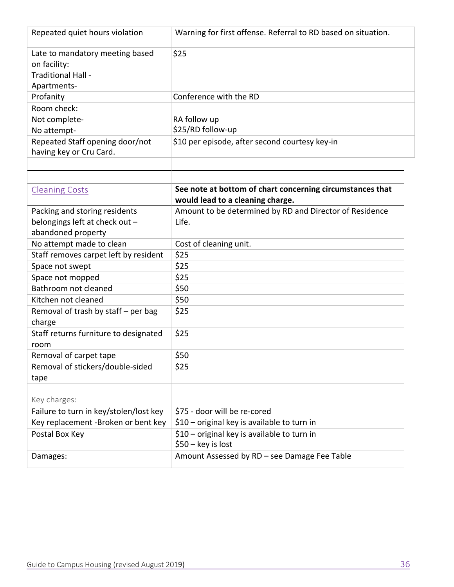| Repeated quiet hours violation                                                       | Warning for first offense. Referral to RD based on situation.                                 |
|--------------------------------------------------------------------------------------|-----------------------------------------------------------------------------------------------|
| Late to mandatory meeting based<br>on facility:<br>Traditional Hall -<br>Apartments- | \$25                                                                                          |
| Profanity                                                                            | Conference with the RD                                                                        |
| Room check:                                                                          |                                                                                               |
| Not complete-                                                                        | RA follow up                                                                                  |
| No attempt-                                                                          | \$25/RD follow-up                                                                             |
| Repeated Staff opening door/not<br>having key or Cru Card.                           | \$10 per episode, after second courtesy key-in                                                |
|                                                                                      |                                                                                               |
| <b>Cleaning Costs</b>                                                                | See note at bottom of chart concerning circumstances that<br>would lead to a cleaning charge. |
| Packing and storing residents                                                        | Amount to be determined by RD and Director of Residence                                       |
| belongings left at check out -                                                       | Life.                                                                                         |
| abandoned property                                                                   |                                                                                               |
| No attempt made to clean                                                             | Cost of cleaning unit.                                                                        |
| Staff removes carpet left by resident                                                | \$25                                                                                          |
| Space not swept                                                                      | \$25                                                                                          |
| Space not mopped                                                                     | \$25                                                                                          |
| Bathroom not cleaned                                                                 | \$50                                                                                          |
| Kitchen not cleaned                                                                  | \$50                                                                                          |
| Removal of trash by staff - per bag                                                  | \$25                                                                                          |
| charge                                                                               |                                                                                               |
| Staff returns furniture to designated<br>room                                        | \$25                                                                                          |
| Removal of carpet tape                                                               | \$50                                                                                          |
| Removal of stickers/double-sided                                                     | \$25                                                                                          |
| tape                                                                                 |                                                                                               |
|                                                                                      |                                                                                               |
| Key charges:                                                                         |                                                                                               |
| Failure to turn in key/stolen/lost key                                               | \$75 - door will be re-cored                                                                  |
| Key replacement -Broken or bent key                                                  | \$10 - original key is available to turn in                                                   |
| Postal Box Key                                                                       | \$10 - original key is available to turn in<br>$$50 - key is lost$                            |
| Damages:                                                                             | Amount Assessed by RD - see Damage Fee Table                                                  |
|                                                                                      |                                                                                               |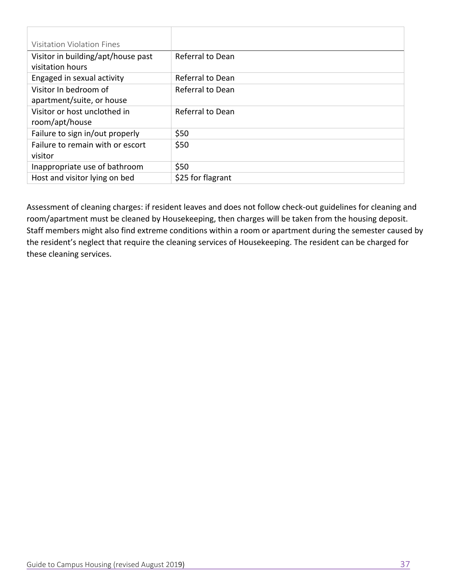| Visitation Violation Fines         |                   |
|------------------------------------|-------------------|
| Visitor in building/apt/house past | Referral to Dean  |
| visitation hours                   |                   |
| Engaged in sexual activity         | Referral to Dean  |
| Visitor In bedroom of              | Referral to Dean  |
| apartment/suite, or house          |                   |
| Visitor or host unclothed in       | Referral to Dean  |
| room/apt/house                     |                   |
| Failure to sign in/out properly    | \$50              |
| Failure to remain with or escort   | \$50              |
| visitor                            |                   |
| Inappropriate use of bathroom      | \$50              |
| Host and visitor lying on bed      | \$25 for flagrant |

Assessment of cleaning charges: if resident leaves and does not follow check‐out guidelines for cleaning and room/apartment must be cleaned by Housekeeping, then charges will be taken from the housing deposit. Staff members might also find extreme conditions within a room or apartment during the semester caused by the resident's neglect that require the cleaning services of Housekeeping. The resident can be charged for these cleaning services.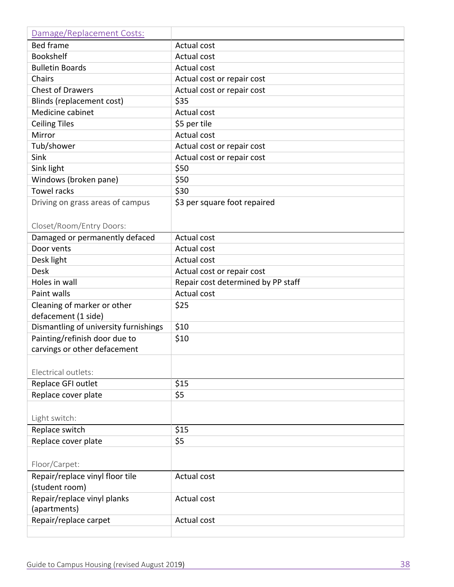| Damage/Replacement Costs:             |                                    |
|---------------------------------------|------------------------------------|
| <b>Bed frame</b>                      | Actual cost                        |
| <b>Bookshelf</b>                      | <b>Actual cost</b>                 |
| <b>Bulletin Boards</b>                | <b>Actual cost</b>                 |
| Chairs                                | Actual cost or repair cost         |
| <b>Chest of Drawers</b>               | Actual cost or repair cost         |
| Blinds (replacement cost)             | \$35                               |
| Medicine cabinet                      | Actual cost                        |
| <b>Ceiling Tiles</b>                  | \$5 per tile                       |
| Mirror                                | <b>Actual cost</b>                 |
| Tub/shower                            | Actual cost or repair cost         |
| Sink                                  | Actual cost or repair cost         |
| Sink light                            | \$50                               |
| Windows (broken pane)                 | \$50                               |
| <b>Towel racks</b>                    | \$30                               |
| Driving on grass areas of campus      | \$3 per square foot repaired       |
|                                       |                                    |
| Closet/Room/Entry Doors:              |                                    |
| Damaged or permanently defaced        | Actual cost                        |
| Door vents                            | <b>Actual cost</b>                 |
| Desk light                            | <b>Actual cost</b>                 |
| <b>Desk</b>                           | Actual cost or repair cost         |
| Holes in wall                         | Repair cost determined by PP staff |
| Paint walls                           | Actual cost                        |
| Cleaning of marker or other           | \$25                               |
| defacement (1 side)                   |                                    |
| Dismantling of university furnishings | \$10                               |
| Painting/refinish door due to         | \$10                               |
| carvings or other defacement          |                                    |
|                                       |                                    |
| Electrical outlets:                   |                                    |
| Replace GFI outlet                    | \$15                               |
| Replace cover plate                   | \$5                                |
|                                       |                                    |
| Light switch:                         |                                    |
| Replace switch                        | \$15                               |
| Replace cover plate                   | \$5                                |
|                                       |                                    |
| Floor/Carpet:                         |                                    |
| Repair/replace vinyl floor tile       | Actual cost                        |
| (student room)                        |                                    |
| Repair/replace vinyl planks           | Actual cost                        |
| (apartments)                          |                                    |
| Repair/replace carpet                 | Actual cost                        |
|                                       |                                    |